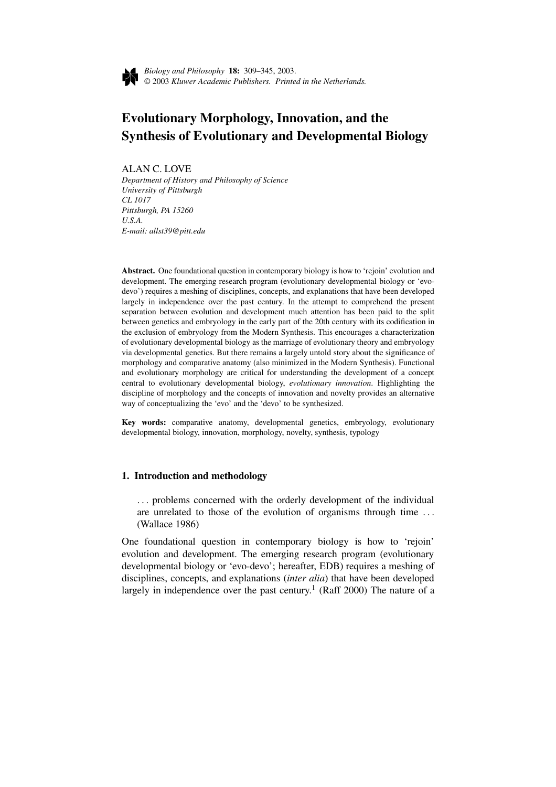

*Biology and Philosophy* **18:** 309–345, 2003. © 2003 *Kluwer Academic Publishers. Printed in the Netherlands.*

# **Evolutionary Morphology, Innovation, and the Synthesis of Evolutionary and Developmental Biology**

### ALAN C. LOVE

*Department of History and Philosophy of Science University of Pittsburgh CL 1017 Pittsburgh, PA 15260 U.S.A. E-mail: allst39@pitt.edu*

**Abstract.** One foundational question in contemporary biology is how to 'rejoin' evolution and development. The emerging research program (evolutionary developmental biology or 'evodevo') requires a meshing of disciplines, concepts, and explanations that have been developed largely in independence over the past century. In the attempt to comprehend the present separation between evolution and development much attention has been paid to the split between genetics and embryology in the early part of the 20th century with its codification in the exclusion of embryology from the Modern Synthesis. This encourages a characterization of evolutionary developmental biology as the marriage of evolutionary theory and embryology via developmental genetics. But there remains a largely untold story about the significance of morphology and comparative anatomy (also minimized in the Modern Synthesis). Functional and evolutionary morphology are critical for understanding the development of a concept central to evolutionary developmental biology, *evolutionary innovation*. Highlighting the discipline of morphology and the concepts of innovation and novelty provides an alternative way of conceptualizing the 'evo' and the 'devo' to be synthesized.

**Key words:** comparative anatomy, developmental genetics, embryology, evolutionary developmental biology, innovation, morphology, novelty, synthesis, typology

### **1. Introduction and methodology**

*...* problems concerned with the orderly development of the individual are unrelated to those of the evolution of organisms through time *...* (Wallace 1986)

One foundational question in contemporary biology is how to 'rejoin' evolution and development. The emerging research program (evolutionary developmental biology or 'evo-devo'; hereafter, EDB) requires a meshing of disciplines, concepts, and explanations (*inter alia*) that have been developed largely in independence over the past century.<sup>1</sup> (Raff 2000) The nature of a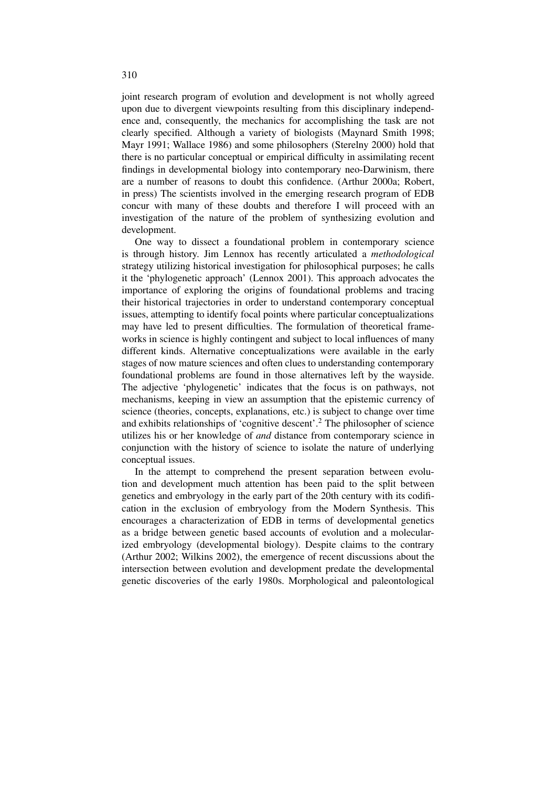joint research program of evolution and development is not wholly agreed upon due to divergent viewpoints resulting from this disciplinary independence and, consequently, the mechanics for accomplishing the task are not clearly specified. Although a variety of biologists (Maynard Smith 1998; Mayr 1991; Wallace 1986) and some philosophers (Sterelny 2000) hold that there is no particular conceptual or empirical difficulty in assimilating recent findings in developmental biology into contemporary neo-Darwinism, there are a number of reasons to doubt this confidence. (Arthur 2000a; Robert, in press) The scientists involved in the emerging research program of EDB concur with many of these doubts and therefore I will proceed with an investigation of the nature of the problem of synthesizing evolution and development.

One way to dissect a foundational problem in contemporary science is through history. Jim Lennox has recently articulated a *methodological* strategy utilizing historical investigation for philosophical purposes; he calls it the 'phylogenetic approach' (Lennox 2001). This approach advocates the importance of exploring the origins of foundational problems and tracing their historical trajectories in order to understand contemporary conceptual issues, attempting to identify focal points where particular conceptualizations may have led to present difficulties. The formulation of theoretical frameworks in science is highly contingent and subject to local influences of many different kinds. Alternative conceptualizations were available in the early stages of now mature sciences and often clues to understanding contemporary foundational problems are found in those alternatives left by the wayside. The adjective 'phylogenetic' indicates that the focus is on pathways, not mechanisms, keeping in view an assumption that the epistemic currency of science (theories, concepts, explanations, etc.) is subject to change over time and exhibits relationships of 'cognitive descent'.<sup>2</sup> The philosopher of science utilizes his or her knowledge of *and* distance from contemporary science in conjunction with the history of science to isolate the nature of underlying conceptual issues.

In the attempt to comprehend the present separation between evolution and development much attention has been paid to the split between genetics and embryology in the early part of the 20th century with its codification in the exclusion of embryology from the Modern Synthesis. This encourages a characterization of EDB in terms of developmental genetics as a bridge between genetic based accounts of evolution and a molecularized embryology (developmental biology). Despite claims to the contrary (Arthur 2002; Wilkins 2002), the emergence of recent discussions about the intersection between evolution and development predate the developmental genetic discoveries of the early 1980s. Morphological and paleontological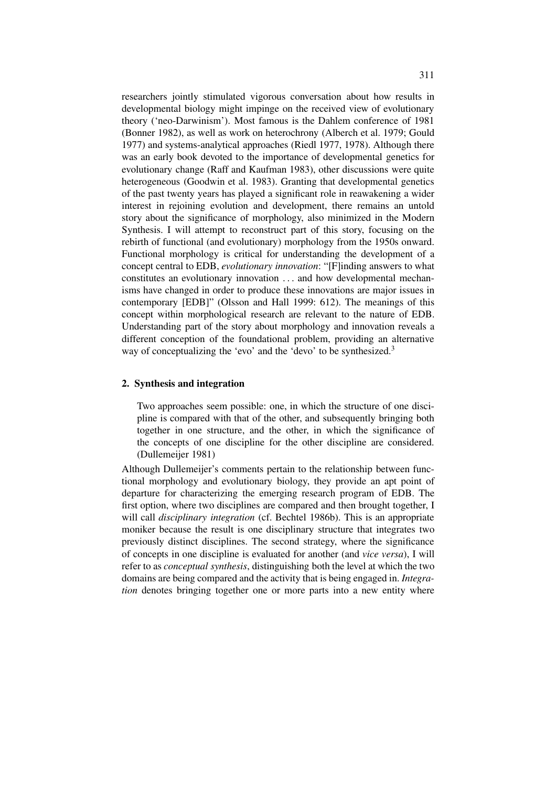researchers jointly stimulated vigorous conversation about how results in developmental biology might impinge on the received view of evolutionary theory ('neo-Darwinism'). Most famous is the Dahlem conference of 1981 (Bonner 1982), as well as work on heterochrony (Alberch et al. 1979; Gould 1977) and systems-analytical approaches (Riedl 1977, 1978). Although there was an early book devoted to the importance of developmental genetics for evolutionary change (Raff and Kaufman 1983), other discussions were quite heterogeneous (Goodwin et al. 1983). Granting that developmental genetics of the past twenty years has played a significant role in reawakening a wider interest in rejoining evolution and development, there remains an untold story about the significance of morphology, also minimized in the Modern Synthesis. I will attempt to reconstruct part of this story, focusing on the rebirth of functional (and evolutionary) morphology from the 1950s onward. Functional morphology is critical for understanding the development of a concept central to EDB, *evolutionary innovation*: "[F]inding answers to what constitutes an evolutionary innovation *...* and how developmental mechanisms have changed in order to produce these innovations are major issues in contemporary [EDB]" (Olsson and Hall 1999: 612). The meanings of this concept within morphological research are relevant to the nature of EDB. Understanding part of the story about morphology and innovation reveals a different conception of the foundational problem, providing an alternative way of conceptualizing the 'evo' and the 'devo' to be synthesized.<sup>3</sup>

### **2. Synthesis and integration**

Two approaches seem possible: one, in which the structure of one discipline is compared with that of the other, and subsequently bringing both together in one structure, and the other, in which the significance of the concepts of one discipline for the other discipline are considered. (Dullemeijer 1981)

Although Dullemeijer's comments pertain to the relationship between functional morphology and evolutionary biology, they provide an apt point of departure for characterizing the emerging research program of EDB. The first option, where two disciplines are compared and then brought together, I will call *disciplinary integration* (cf. Bechtel 1986b). This is an appropriate moniker because the result is one disciplinary structure that integrates two previously distinct disciplines. The second strategy, where the significance of concepts in one discipline is evaluated for another (and *vice versa*), I will refer to as *conceptual synthesis*, distinguishing both the level at which the two domains are being compared and the activity that is being engaged in. *Integration* denotes bringing together one or more parts into a new entity where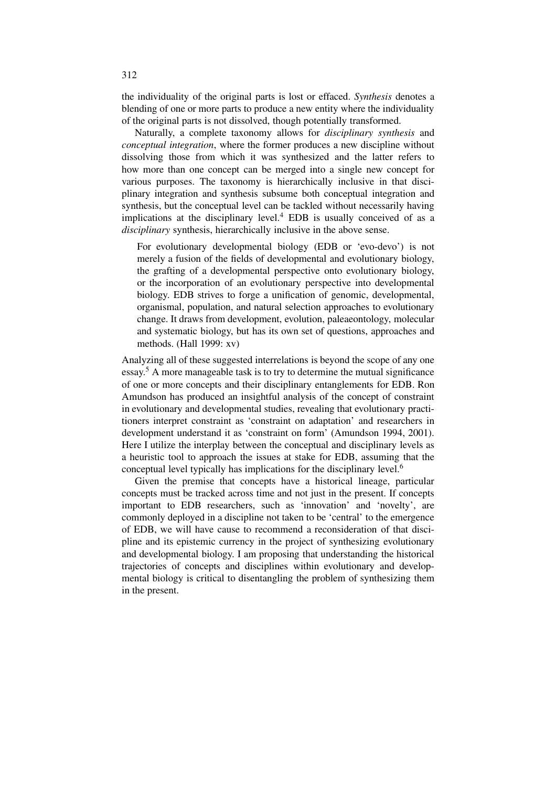the individuality of the original parts is lost or effaced. *Synthesis* denotes a blending of one or more parts to produce a new entity where the individuality of the original parts is not dissolved, though potentially transformed.

Naturally, a complete taxonomy allows for *disciplinary synthesis* and *conceptual integration*, where the former produces a new discipline without dissolving those from which it was synthesized and the latter refers to how more than one concept can be merged into a single new concept for various purposes. The taxonomy is hierarchically inclusive in that disciplinary integration and synthesis subsume both conceptual integration and synthesis, but the conceptual level can be tackled without necessarily having implications at the disciplinary level.<sup>4</sup> EDB is usually conceived of as a *disciplinary* synthesis, hierarchically inclusive in the above sense.

For evolutionary developmental biology (EDB or 'evo-devo') is not merely a fusion of the fields of developmental and evolutionary biology, the grafting of a developmental perspective onto evolutionary biology, or the incorporation of an evolutionary perspective into developmental biology. EDB strives to forge a unification of genomic, developmental, organismal, population, and natural selection approaches to evolutionary change. It draws from development, evolution, paleaeontology, molecular and systematic biology, but has its own set of questions, approaches and methods. (Hall 1999: xv)

Analyzing all of these suggested interrelations is beyond the scope of any one essay.<sup>5</sup> A more manageable task is to try to determine the mutual significance of one or more concepts and their disciplinary entanglements for EDB. Ron Amundson has produced an insightful analysis of the concept of constraint in evolutionary and developmental studies, revealing that evolutionary practitioners interpret constraint as 'constraint on adaptation' and researchers in development understand it as 'constraint on form' (Amundson 1994, 2001). Here I utilize the interplay between the conceptual and disciplinary levels as a heuristic tool to approach the issues at stake for EDB, assuming that the conceptual level typically has implications for the disciplinary level.<sup>6</sup>

Given the premise that concepts have a historical lineage, particular concepts must be tracked across time and not just in the present. If concepts important to EDB researchers, such as 'innovation' and 'novelty', are commonly deployed in a discipline not taken to be 'central' to the emergence of EDB, we will have cause to recommend a reconsideration of that discipline and its epistemic currency in the project of synthesizing evolutionary and developmental biology. I am proposing that understanding the historical trajectories of concepts and disciplines within evolutionary and developmental biology is critical to disentangling the problem of synthesizing them in the present.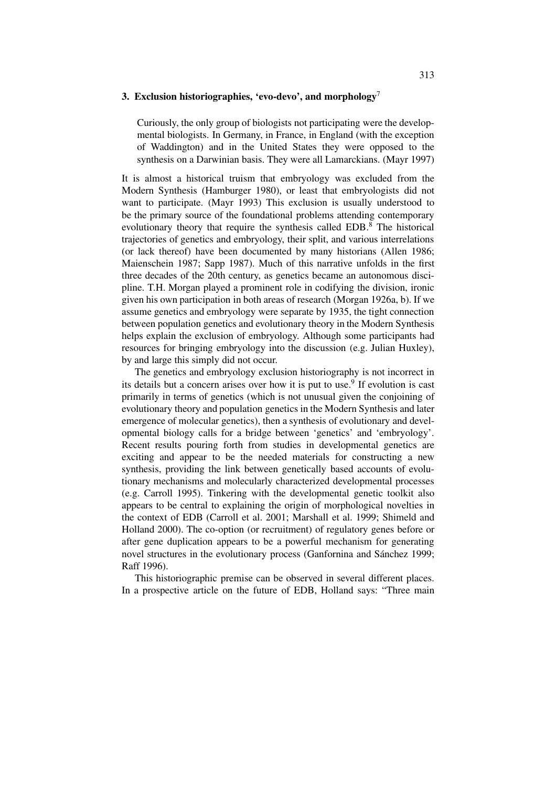# **3. Exclusion historiographies, 'evo-devo', and morphology**<sup>7</sup>

Curiously, the only group of biologists not participating were the developmental biologists. In Germany, in France, in England (with the exception of Waddington) and in the United States they were opposed to the synthesis on a Darwinian basis. They were all Lamarckians. (Mayr 1997)

It is almost a historical truism that embryology was excluded from the Modern Synthesis (Hamburger 1980), or least that embryologists did not want to participate. (Mayr 1993) This exclusion is usually understood to be the primary source of the foundational problems attending contemporary evolutionary theory that require the synthesis called EDB.<sup>8</sup> The historical trajectories of genetics and embryology, their split, and various interrelations (or lack thereof) have been documented by many historians (Allen 1986; Maienschein 1987; Sapp 1987). Much of this narrative unfolds in the first three decades of the 20th century, as genetics became an autonomous discipline. T.H. Morgan played a prominent role in codifying the division, ironic given his own participation in both areas of research (Morgan 1926a, b). If we assume genetics and embryology were separate by 1935, the tight connection between population genetics and evolutionary theory in the Modern Synthesis helps explain the exclusion of embryology. Although some participants had resources for bringing embryology into the discussion (e.g. Julian Huxley), by and large this simply did not occur.

The genetics and embryology exclusion historiography is not incorrect in its details but a concern arises over how it is put to use.<sup>9</sup> If evolution is cast primarily in terms of genetics (which is not unusual given the conjoining of evolutionary theory and population genetics in the Modern Synthesis and later emergence of molecular genetics), then a synthesis of evolutionary and developmental biology calls for a bridge between 'genetics' and 'embryology'. Recent results pouring forth from studies in developmental genetics are exciting and appear to be the needed materials for constructing a new synthesis, providing the link between genetically based accounts of evolutionary mechanisms and molecularly characterized developmental processes (e.g. Carroll 1995). Tinkering with the developmental genetic toolkit also appears to be central to explaining the origin of morphological novelties in the context of EDB (Carroll et al. 2001; Marshall et al. 1999; Shimeld and Holland 2000). The co-option (or recruitment) of regulatory genes before or after gene duplication appears to be a powerful mechanism for generating novel structures in the evolutionary process (Ganfornina and Sánchez 1999; Raff 1996).

This historiographic premise can be observed in several different places. In a prospective article on the future of EDB, Holland says: "Three main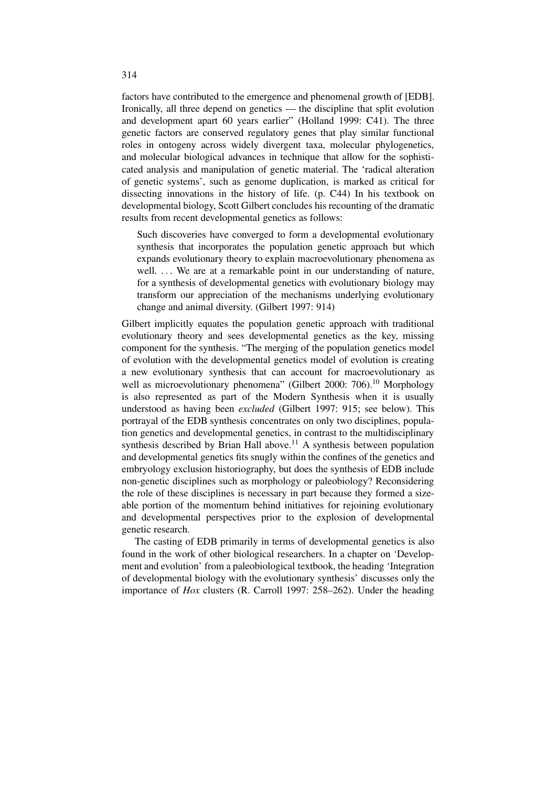factors have contributed to the emergence and phenomenal growth of [EDB]. Ironically, all three depend on genetics — the discipline that split evolution and development apart 60 years earlier" (Holland 1999: C41). The three genetic factors are conserved regulatory genes that play similar functional roles in ontogeny across widely divergent taxa, molecular phylogenetics, and molecular biological advances in technique that allow for the sophisticated analysis and manipulation of genetic material. The 'radical alteration of genetic systems', such as genome duplication, is marked as critical for dissecting innovations in the history of life. (p. C44) In his textbook on developmental biology, Scott Gilbert concludes his recounting of the dramatic results from recent developmental genetics as follows:

Such discoveries have converged to form a developmental evolutionary synthesis that incorporates the population genetic approach but which expands evolutionary theory to explain macroevolutionary phenomena as well. ... We are at a remarkable point in our understanding of nature, for a synthesis of developmental genetics with evolutionary biology may transform our appreciation of the mechanisms underlying evolutionary change and animal diversity. (Gilbert 1997: 914)

Gilbert implicitly equates the population genetic approach with traditional evolutionary theory and sees developmental genetics as the key, missing component for the synthesis. "The merging of the population genetics model of evolution with the developmental genetics model of evolution is creating a new evolutionary synthesis that can account for macroevolutionary as well as microevolutionary phenomena" (Gilbert 2000: 706).<sup>10</sup> Morphology is also represented as part of the Modern Synthesis when it is usually understood as having been *excluded* (Gilbert 1997: 915; see below). This portrayal of the EDB synthesis concentrates on only two disciplines, population genetics and developmental genetics, in contrast to the multidisciplinary synthesis described by Brian Hall above.<sup>11</sup> A synthesis between population and developmental genetics fits snugly within the confines of the genetics and embryology exclusion historiography, but does the synthesis of EDB include non-genetic disciplines such as morphology or paleobiology? Reconsidering the role of these disciplines is necessary in part because they formed a sizeable portion of the momentum behind initiatives for rejoining evolutionary and developmental perspectives prior to the explosion of developmental genetic research.

The casting of EDB primarily in terms of developmental genetics is also found in the work of other biological researchers. In a chapter on 'Development and evolution' from a paleobiological textbook, the heading 'Integration of developmental biology with the evolutionary synthesis' discusses only the importance of *Hox* clusters (R. Carroll 1997: 258–262). Under the heading

314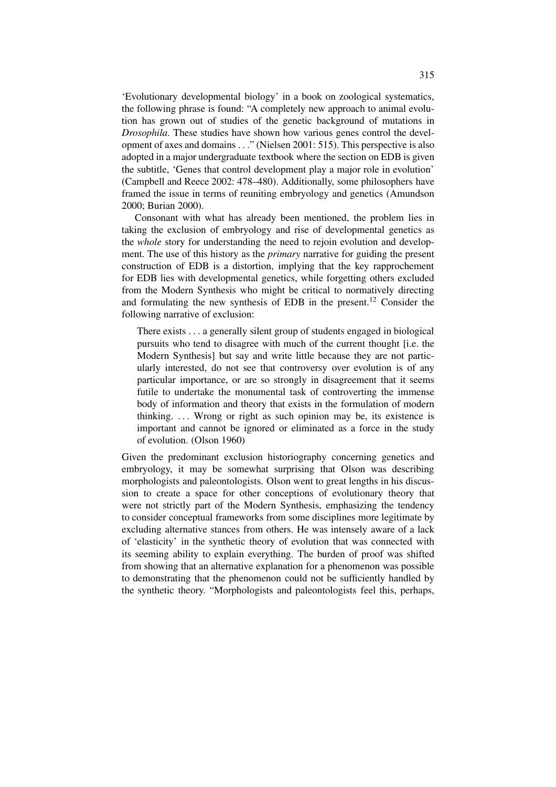'Evolutionary developmental biology' in a book on zoological systematics, the following phrase is found: "A completely new approach to animal evolution has grown out of studies of the genetic background of mutations in *Drosophila*. These studies have shown how various genes control the development of axes and domains *...*" (Nielsen 2001: 515). This perspective is also adopted in a major undergraduate textbook where the section on EDB is given the subtitle, 'Genes that control development play a major role in evolution' (Campbell and Reece 2002: 478–480). Additionally, some philosophers have framed the issue in terms of reuniting embryology and genetics (Amundson 2000; Burian 2000).

Consonant with what has already been mentioned, the problem lies in taking the exclusion of embryology and rise of developmental genetics as the *whole* story for understanding the need to rejoin evolution and development. The use of this history as the *primary* narrative for guiding the present construction of EDB is a distortion, implying that the key rapprochement for EDB lies with developmental genetics, while forgetting others excluded from the Modern Synthesis who might be critical to normatively directing and formulating the new synthesis of EDB in the present.<sup>12</sup> Consider the following narrative of exclusion:

There exists *...* a generally silent group of students engaged in biological pursuits who tend to disagree with much of the current thought [i.e. the Modern Synthesis] but say and write little because they are not particularly interested, do not see that controversy over evolution is of any particular importance, or are so strongly in disagreement that it seems futile to undertake the monumental task of controverting the immense body of information and theory that exists in the formulation of modern thinking. *...* Wrong or right as such opinion may be, its existence is important and cannot be ignored or eliminated as a force in the study of evolution. (Olson 1960)

Given the predominant exclusion historiography concerning genetics and embryology, it may be somewhat surprising that Olson was describing morphologists and paleontologists. Olson went to great lengths in his discussion to create a space for other conceptions of evolutionary theory that were not strictly part of the Modern Synthesis, emphasizing the tendency to consider conceptual frameworks from some disciplines more legitimate by excluding alternative stances from others. He was intensely aware of a lack of 'elasticity' in the synthetic theory of evolution that was connected with its seeming ability to explain everything. The burden of proof was shifted from showing that an alternative explanation for a phenomenon was possible to demonstrating that the phenomenon could not be sufficiently handled by the synthetic theory. "Morphologists and paleontologists feel this, perhaps,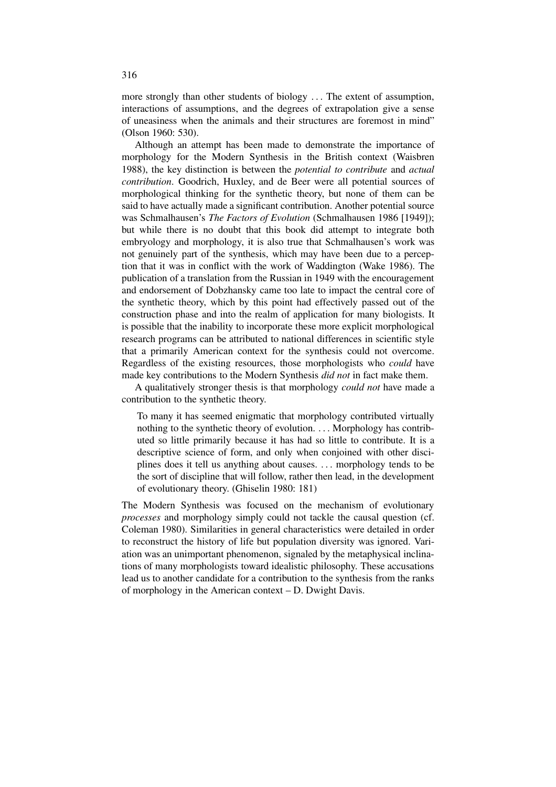more strongly than other students of biology *...* The extent of assumption, interactions of assumptions, and the degrees of extrapolation give a sense of uneasiness when the animals and their structures are foremost in mind" (Olson 1960: 530).

Although an attempt has been made to demonstrate the importance of morphology for the Modern Synthesis in the British context (Waisbren 1988), the key distinction is between the *potential to contribute* and *actual contribution*. Goodrich, Huxley, and de Beer were all potential sources of morphological thinking for the synthetic theory, but none of them can be said to have actually made a significant contribution. Another potential source was Schmalhausen's *The Factors of Evolution* (Schmalhausen 1986 [1949]); but while there is no doubt that this book did attempt to integrate both embryology and morphology, it is also true that Schmalhausen's work was not genuinely part of the synthesis, which may have been due to a perception that it was in conflict with the work of Waddington (Wake 1986). The publication of a translation from the Russian in 1949 with the encouragement and endorsement of Dobzhansky came too late to impact the central core of the synthetic theory, which by this point had effectively passed out of the construction phase and into the realm of application for many biologists. It is possible that the inability to incorporate these more explicit morphological research programs can be attributed to national differences in scientific style that a primarily American context for the synthesis could not overcome. Regardless of the existing resources, those morphologists who *could* have made key contributions to the Modern Synthesis *did not* in fact make them.

A qualitatively stronger thesis is that morphology *could not* have made a contribution to the synthetic theory.

To many it has seemed enigmatic that morphology contributed virtually nothing to the synthetic theory of evolution. *...* Morphology has contributed so little primarily because it has had so little to contribute. It is a descriptive science of form, and only when conjoined with other disciplines does it tell us anything about causes. *...* morphology tends to be the sort of discipline that will follow, rather then lead, in the development of evolutionary theory. (Ghiselin 1980: 181)

The Modern Synthesis was focused on the mechanism of evolutionary *processes* and morphology simply could not tackle the causal question (cf. Coleman 1980). Similarities in general characteristics were detailed in order to reconstruct the history of life but population diversity was ignored. Variation was an unimportant phenomenon, signaled by the metaphysical inclinations of many morphologists toward idealistic philosophy. These accusations lead us to another candidate for a contribution to the synthesis from the ranks of morphology in the American context – D. Dwight Davis.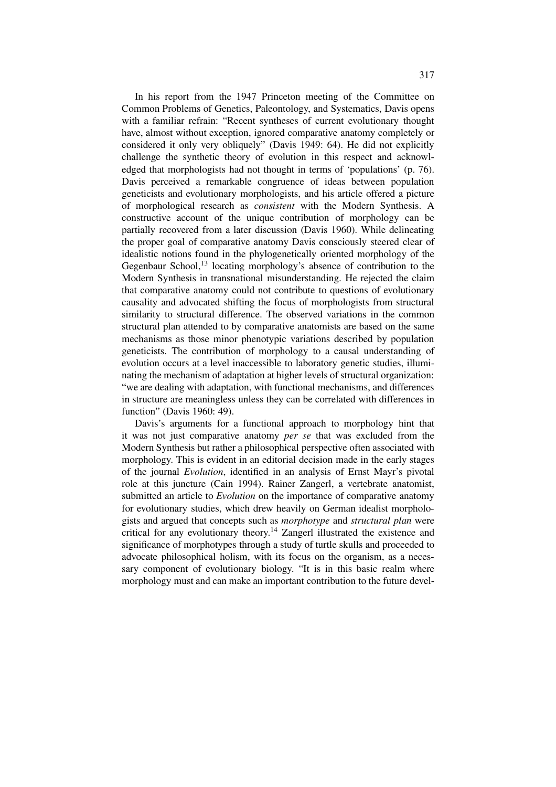In his report from the 1947 Princeton meeting of the Committee on Common Problems of Genetics, Paleontology, and Systematics, Davis opens with a familiar refrain: "Recent syntheses of current evolutionary thought have, almost without exception, ignored comparative anatomy completely or considered it only very obliquely" (Davis 1949: 64). He did not explicitly challenge the synthetic theory of evolution in this respect and acknowledged that morphologists had not thought in terms of 'populations' (p. 76). Davis perceived a remarkable congruence of ideas between population geneticists and evolutionary morphologists, and his article offered a picture of morphological research as *consistent* with the Modern Synthesis. A constructive account of the unique contribution of morphology can be partially recovered from a later discussion (Davis 1960). While delineating the proper goal of comparative anatomy Davis consciously steered clear of idealistic notions found in the phylogenetically oriented morphology of the Gegenbaur School,<sup>13</sup> locating morphology's absence of contribution to the Modern Synthesis in transnational misunderstanding. He rejected the claim that comparative anatomy could not contribute to questions of evolutionary causality and advocated shifting the focus of morphologists from structural similarity to structural difference. The observed variations in the common structural plan attended to by comparative anatomists are based on the same mechanisms as those minor phenotypic variations described by population geneticists. The contribution of morphology to a causal understanding of evolution occurs at a level inaccessible to laboratory genetic studies, illuminating the mechanism of adaptation at higher levels of structural organization: "we are dealing with adaptation, with functional mechanisms, and differences in structure are meaningless unless they can be correlated with differences in function" (Davis 1960: 49).

Davis's arguments for a functional approach to morphology hint that it was not just comparative anatomy *per se* that was excluded from the Modern Synthesis but rather a philosophical perspective often associated with morphology. This is evident in an editorial decision made in the early stages of the journal *Evolution*, identified in an analysis of Ernst Mayr's pivotal role at this juncture (Cain 1994). Rainer Zangerl, a vertebrate anatomist, submitted an article to *Evolution* on the importance of comparative anatomy for evolutionary studies, which drew heavily on German idealist morphologists and argued that concepts such as *morphotype* and *structural plan* were critical for any evolutionary theory.<sup>14</sup> Zangerl illustrated the existence and significance of morphotypes through a study of turtle skulls and proceeded to advocate philosophical holism, with its focus on the organism, as a necessary component of evolutionary biology. "It is in this basic realm where morphology must and can make an important contribution to the future devel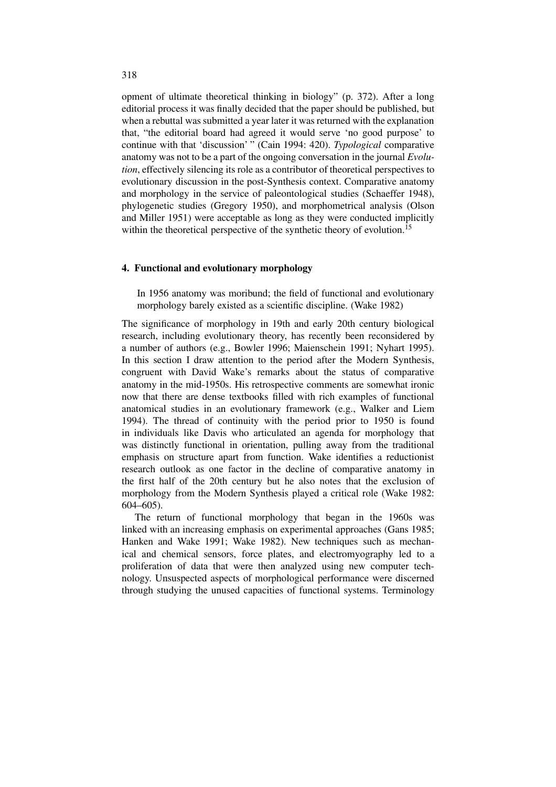opment of ultimate theoretical thinking in biology" (p. 372). After a long editorial process it was finally decided that the paper should be published, but when a rebuttal was submitted a year later it was returned with the explanation that, "the editorial board had agreed it would serve 'no good purpose' to continue with that 'discussion' " (Cain 1994: 420). *Typological* comparative anatomy was not to be a part of the ongoing conversation in the journal *Evolution*, effectively silencing its role as a contributor of theoretical perspectives to evolutionary discussion in the post-Synthesis context. Comparative anatomy and morphology in the service of paleontological studies (Schaeffer 1948), phylogenetic studies (Gregory 1950), and morphometrical analysis (Olson and Miller 1951) were acceptable as long as they were conducted implicitly within the theoretical perspective of the synthetic theory of evolution.<sup>15</sup>

### **4. Functional and evolutionary morphology**

In 1956 anatomy was moribund; the field of functional and evolutionary morphology barely existed as a scientific discipline. (Wake 1982)

The significance of morphology in 19th and early 20th century biological research, including evolutionary theory, has recently been reconsidered by a number of authors (e.g., Bowler 1996; Maienschein 1991; Nyhart 1995). In this section I draw attention to the period after the Modern Synthesis, congruent with David Wake's remarks about the status of comparative anatomy in the mid-1950s. His retrospective comments are somewhat ironic now that there are dense textbooks filled with rich examples of functional anatomical studies in an evolutionary framework (e.g., Walker and Liem 1994). The thread of continuity with the period prior to 1950 is found in individuals like Davis who articulated an agenda for morphology that was distinctly functional in orientation, pulling away from the traditional emphasis on structure apart from function. Wake identifies a reductionist research outlook as one factor in the decline of comparative anatomy in the first half of the 20th century but he also notes that the exclusion of morphology from the Modern Synthesis played a critical role (Wake 1982: 604–605).

The return of functional morphology that began in the 1960s was linked with an increasing emphasis on experimental approaches (Gans 1985; Hanken and Wake 1991; Wake 1982). New techniques such as mechanical and chemical sensors, force plates, and electromyography led to a proliferation of data that were then analyzed using new computer technology. Unsuspected aspects of morphological performance were discerned through studying the unused capacities of functional systems. Terminology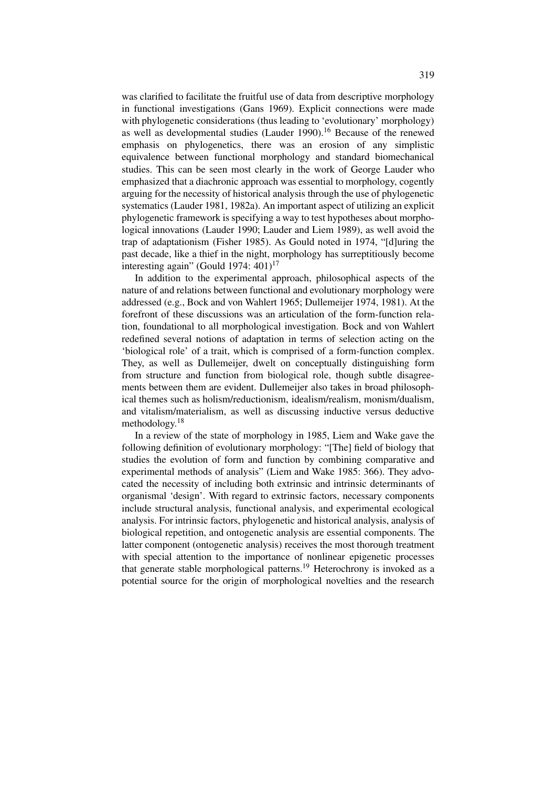was clarified to facilitate the fruitful use of data from descriptive morphology in functional investigations (Gans 1969). Explicit connections were made with phylogenetic considerations (thus leading to 'evolutionary' morphology) as well as developmental studies (Lauder 1990).<sup>16</sup> Because of the renewed emphasis on phylogenetics, there was an erosion of any simplistic equivalence between functional morphology and standard biomechanical studies. This can be seen most clearly in the work of George Lauder who emphasized that a diachronic approach was essential to morphology, cogently arguing for the necessity of historical analysis through the use of phylogenetic systematics (Lauder 1981, 1982a). An important aspect of utilizing an explicit phylogenetic framework is specifying a way to test hypotheses about morphological innovations (Lauder 1990; Lauder and Liem 1989), as well avoid the trap of adaptationism (Fisher 1985). As Gould noted in 1974, "[d]uring the past decade, like a thief in the night, morphology has surreptitiously become interesting again" (Gould 1974:  $401$ )<sup>17</sup>

In addition to the experimental approach, philosophical aspects of the nature of and relations between functional and evolutionary morphology were addressed (e.g., Bock and von Wahlert 1965; Dullemeijer 1974, 1981). At the forefront of these discussions was an articulation of the form-function relation, foundational to all morphological investigation. Bock and von Wahlert redefined several notions of adaptation in terms of selection acting on the 'biological role' of a trait, which is comprised of a form-function complex. They, as well as Dullemeijer, dwelt on conceptually distinguishing form from structure and function from biological role, though subtle disagreements between them are evident. Dullemeijer also takes in broad philosophical themes such as holism/reductionism, idealism/realism, monism/dualism, and vitalism/materialism, as well as discussing inductive versus deductive methodology.<sup>18</sup>

In a review of the state of morphology in 1985, Liem and Wake gave the following definition of evolutionary morphology: "[The] field of biology that studies the evolution of form and function by combining comparative and experimental methods of analysis" (Liem and Wake 1985: 366). They advocated the necessity of including both extrinsic and intrinsic determinants of organismal 'design'. With regard to extrinsic factors, necessary components include structural analysis, functional analysis, and experimental ecological analysis. For intrinsic factors, phylogenetic and historical analysis, analysis of biological repetition, and ontogenetic analysis are essential components. The latter component (ontogenetic analysis) receives the most thorough treatment with special attention to the importance of nonlinear epigenetic processes that generate stable morphological patterns.19 Heterochrony is invoked as a potential source for the origin of morphological novelties and the research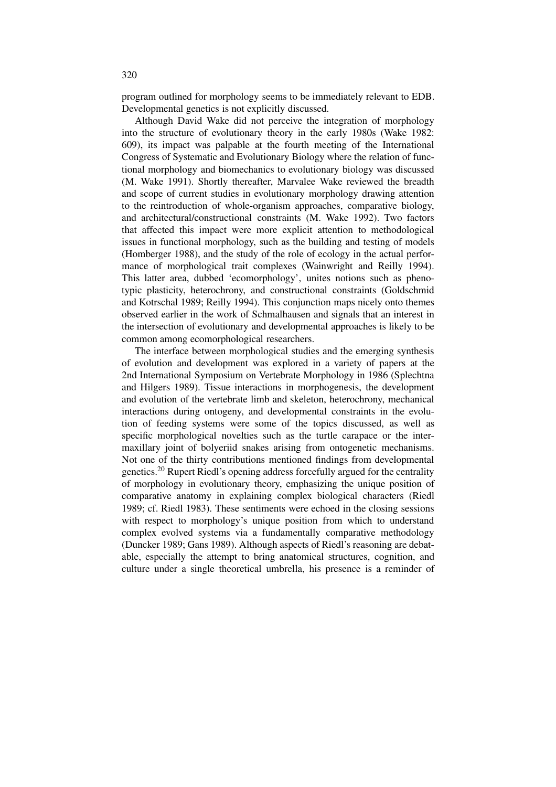program outlined for morphology seems to be immediately relevant to EDB. Developmental genetics is not explicitly discussed.

Although David Wake did not perceive the integration of morphology into the structure of evolutionary theory in the early 1980s (Wake 1982: 609), its impact was palpable at the fourth meeting of the International Congress of Systematic and Evolutionary Biology where the relation of functional morphology and biomechanics to evolutionary biology was discussed (M. Wake 1991). Shortly thereafter, Marvalee Wake reviewed the breadth and scope of current studies in evolutionary morphology drawing attention to the reintroduction of whole-organism approaches, comparative biology, and architectural/constructional constraints (M. Wake 1992). Two factors that affected this impact were more explicit attention to methodological issues in functional morphology, such as the building and testing of models (Homberger 1988), and the study of the role of ecology in the actual performance of morphological trait complexes (Wainwright and Reilly 1994). This latter area, dubbed 'ecomorphology', unites notions such as phenotypic plasticity, heterochrony, and constructional constraints (Goldschmid and Kotrschal 1989; Reilly 1994). This conjunction maps nicely onto themes observed earlier in the work of Schmalhausen and signals that an interest in the intersection of evolutionary and developmental approaches is likely to be common among ecomorphological researchers.

The interface between morphological studies and the emerging synthesis of evolution and development was explored in a variety of papers at the 2nd International Symposium on Vertebrate Morphology in 1986 (Splechtna and Hilgers 1989). Tissue interactions in morphogenesis, the development and evolution of the vertebrate limb and skeleton, heterochrony, mechanical interactions during ontogeny, and developmental constraints in the evolution of feeding systems were some of the topics discussed, as well as specific morphological novelties such as the turtle carapace or the intermaxillary joint of bolyeriid snakes arising from ontogenetic mechanisms. Not one of the thirty contributions mentioned findings from developmental genetics.<sup>20</sup> Rupert Riedl's opening address forcefully argued for the centrality of morphology in evolutionary theory, emphasizing the unique position of comparative anatomy in explaining complex biological characters (Riedl 1989; cf. Riedl 1983). These sentiments were echoed in the closing sessions with respect to morphology's unique position from which to understand complex evolved systems via a fundamentally comparative methodology (Duncker 1989; Gans 1989). Although aspects of Riedl's reasoning are debatable, especially the attempt to bring anatomical structures, cognition, and culture under a single theoretical umbrella, his presence is a reminder of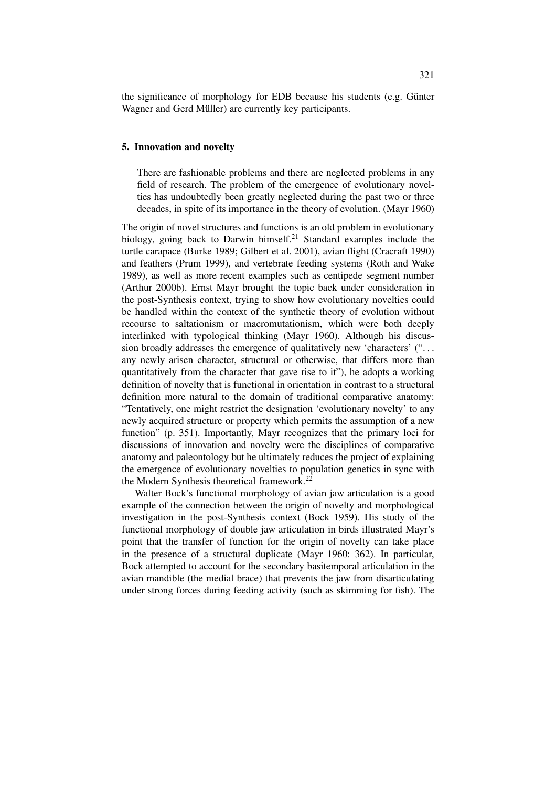the significance of morphology for EDB because his students (e.g. Günter Wagner and Gerd Müller) are currently key participants.

### **5. Innovation and novelty**

There are fashionable problems and there are neglected problems in any field of research. The problem of the emergence of evolutionary novelties has undoubtedly been greatly neglected during the past two or three decades, in spite of its importance in the theory of evolution. (Mayr 1960)

The origin of novel structures and functions is an old problem in evolutionary biology, going back to Darwin himself.<sup>21</sup> Standard examples include the turtle carapace (Burke 1989; Gilbert et al. 2001), avian flight (Cracraft 1990) and feathers (Prum 1999), and vertebrate feeding systems (Roth and Wake 1989), as well as more recent examples such as centipede segment number (Arthur 2000b). Ernst Mayr brought the topic back under consideration in the post-Synthesis context, trying to show how evolutionary novelties could be handled within the context of the synthetic theory of evolution without recourse to saltationism or macromutationism, which were both deeply interlinked with typological thinking (Mayr 1960). Although his discussion broadly addresses the emergence of qualitatively new 'characters' ("*...* any newly arisen character, structural or otherwise, that differs more than quantitatively from the character that gave rise to it"), he adopts a working definition of novelty that is functional in orientation in contrast to a structural definition more natural to the domain of traditional comparative anatomy: "Tentatively, one might restrict the designation 'evolutionary novelty' to any newly acquired structure or property which permits the assumption of a new function" (p. 351). Importantly, Mayr recognizes that the primary loci for discussions of innovation and novelty were the disciplines of comparative anatomy and paleontology but he ultimately reduces the project of explaining the emergence of evolutionary novelties to population genetics in sync with the Modern Synthesis theoretical framework.<sup>22</sup>

Walter Bock's functional morphology of avian jaw articulation is a good example of the connection between the origin of novelty and morphological investigation in the post-Synthesis context (Bock 1959). His study of the functional morphology of double jaw articulation in birds illustrated Mayr's point that the transfer of function for the origin of novelty can take place in the presence of a structural duplicate (Mayr 1960: 362). In particular, Bock attempted to account for the secondary basitemporal articulation in the avian mandible (the medial brace) that prevents the jaw from disarticulating under strong forces during feeding activity (such as skimming for fish). The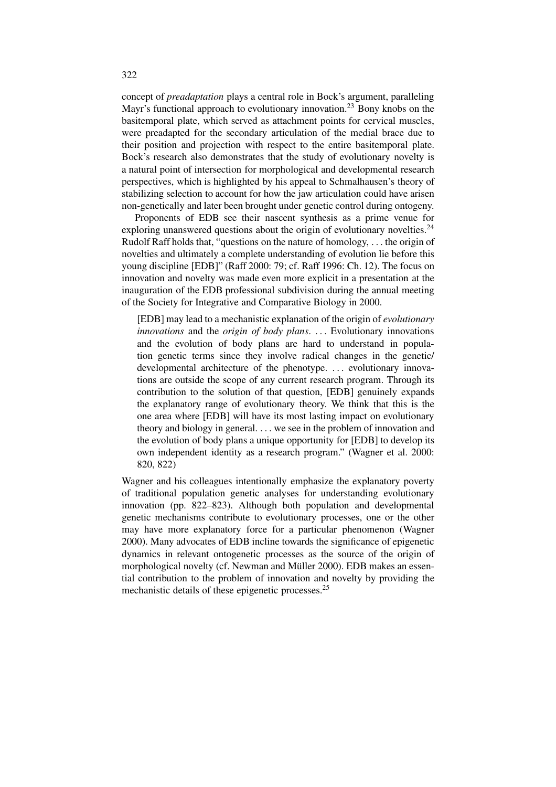concept of *preadaptation* plays a central role in Bock's argument, paralleling Mayr's functional approach to evolutionary innovation.<sup>23</sup> Bony knobs on the basitemporal plate, which served as attachment points for cervical muscles, were preadapted for the secondary articulation of the medial brace due to their position and projection with respect to the entire basitemporal plate. Bock's research also demonstrates that the study of evolutionary novelty is a natural point of intersection for morphological and developmental research perspectives, which is highlighted by his appeal to Schmalhausen's theory of stabilizing selection to account for how the jaw articulation could have arisen non-genetically and later been brought under genetic control during ontogeny.

Proponents of EDB see their nascent synthesis as a prime venue for exploring unanswered questions about the origin of evolutionary novelties.<sup>24</sup> Rudolf Raff holds that, "questions on the nature of homology, *...* the origin of novelties and ultimately a complete understanding of evolution lie before this young discipline [EDB]" (Raff 2000: 79; cf. Raff 1996: Ch. 12). The focus on innovation and novelty was made even more explicit in a presentation at the inauguration of the EDB professional subdivision during the annual meeting of the Society for Integrative and Comparative Biology in 2000.

[EDB] may lead to a mechanistic explanation of the origin of *evolutionary innovations* and the *origin of body plans*. *...* Evolutionary innovations and the evolution of body plans are hard to understand in population genetic terms since they involve radical changes in the genetic/ developmental architecture of the phenotype. *...* evolutionary innovations are outside the scope of any current research program. Through its contribution to the solution of that question, [EDB] genuinely expands the explanatory range of evolutionary theory. We think that this is the one area where [EDB] will have its most lasting impact on evolutionary theory and biology in general. *...* we see in the problem of innovation and the evolution of body plans a unique opportunity for [EDB] to develop its own independent identity as a research program." (Wagner et al. 2000: 820, 822)

Wagner and his colleagues intentionally emphasize the explanatory poverty of traditional population genetic analyses for understanding evolutionary innovation (pp. 822–823). Although both population and developmental genetic mechanisms contribute to evolutionary processes, one or the other may have more explanatory force for a particular phenomenon (Wagner 2000). Many advocates of EDB incline towards the significance of epigenetic dynamics in relevant ontogenetic processes as the source of the origin of morphological novelty (cf. Newman and Müller 2000). EDB makes an essential contribution to the problem of innovation and novelty by providing the mechanistic details of these epigenetic processes.<sup>25</sup>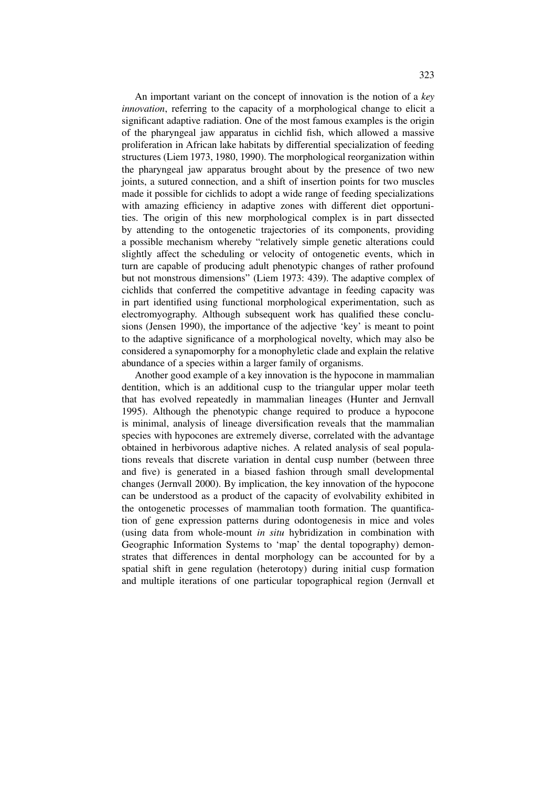An important variant on the concept of innovation is the notion of a *key innovation*, referring to the capacity of a morphological change to elicit a significant adaptive radiation. One of the most famous examples is the origin of the pharyngeal jaw apparatus in cichlid fish, which allowed a massive proliferation in African lake habitats by differential specialization of feeding structures (Liem 1973, 1980, 1990). The morphological reorganization within the pharyngeal jaw apparatus brought about by the presence of two new joints, a sutured connection, and a shift of insertion points for two muscles made it possible for cichlids to adopt a wide range of feeding specializations with amazing efficiency in adaptive zones with different diet opportunities. The origin of this new morphological complex is in part dissected by attending to the ontogenetic trajectories of its components, providing a possible mechanism whereby "relatively simple genetic alterations could slightly affect the scheduling or velocity of ontogenetic events, which in turn are capable of producing adult phenotypic changes of rather profound but not monstrous dimensions" (Liem 1973: 439). The adaptive complex of cichlids that conferred the competitive advantage in feeding capacity was in part identified using functional morphological experimentation, such as electromyography. Although subsequent work has qualified these conclusions (Jensen 1990), the importance of the adjective 'key' is meant to point to the adaptive significance of a morphological novelty, which may also be considered a synapomorphy for a monophyletic clade and explain the relative abundance of a species within a larger family of organisms.

Another good example of a key innovation is the hypocone in mammalian dentition, which is an additional cusp to the triangular upper molar teeth that has evolved repeatedly in mammalian lineages (Hunter and Jernvall 1995). Although the phenotypic change required to produce a hypocone is minimal, analysis of lineage diversification reveals that the mammalian species with hypocones are extremely diverse, correlated with the advantage obtained in herbivorous adaptive niches. A related analysis of seal populations reveals that discrete variation in dental cusp number (between three and five) is generated in a biased fashion through small developmental changes (Jernvall 2000). By implication, the key innovation of the hypocone can be understood as a product of the capacity of evolvability exhibited in the ontogenetic processes of mammalian tooth formation. The quantification of gene expression patterns during odontogenesis in mice and voles (using data from whole-mount *in situ* hybridization in combination with Geographic Information Systems to 'map' the dental topography) demonstrates that differences in dental morphology can be accounted for by a spatial shift in gene regulation (heterotopy) during initial cusp formation and multiple iterations of one particular topographical region (Jernvall et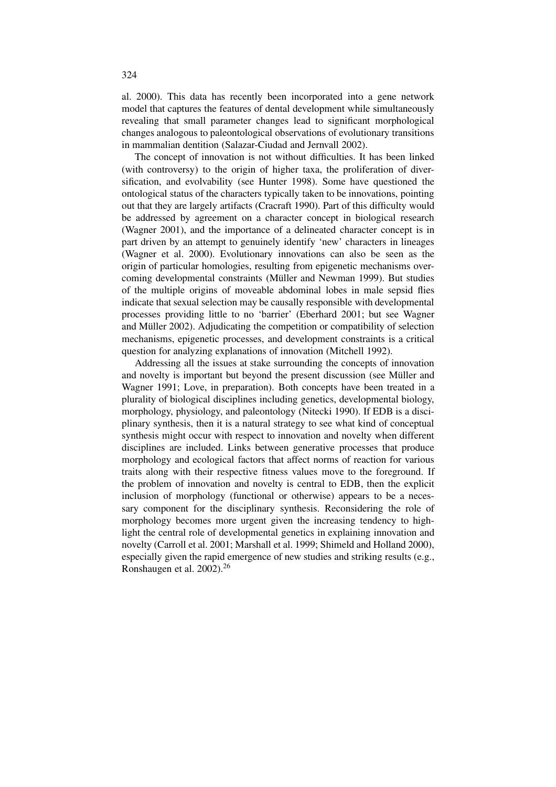al. 2000). This data has recently been incorporated into a gene network model that captures the features of dental development while simultaneously revealing that small parameter changes lead to significant morphological changes analogous to paleontological observations of evolutionary transitions in mammalian dentition (Salazar-Ciudad and Jernvall 2002).

The concept of innovation is not without difficulties. It has been linked (with controversy) to the origin of higher taxa, the proliferation of diversification, and evolvability (see Hunter 1998). Some have questioned the ontological status of the characters typically taken to be innovations, pointing out that they are largely artifacts (Cracraft 1990). Part of this difficulty would be addressed by agreement on a character concept in biological research (Wagner 2001), and the importance of a delineated character concept is in part driven by an attempt to genuinely identify 'new' characters in lineages (Wagner et al. 2000). Evolutionary innovations can also be seen as the origin of particular homologies, resulting from epigenetic mechanisms overcoming developmental constraints (Müller and Newman 1999). But studies of the multiple origins of moveable abdominal lobes in male sepsid flies indicate that sexual selection may be causally responsible with developmental processes providing little to no 'barrier' (Eberhard 2001; but see Wagner and Müller 2002). Adjudicating the competition or compatibility of selection mechanisms, epigenetic processes, and development constraints is a critical question for analyzing explanations of innovation (Mitchell 1992).

Addressing all the issues at stake surrounding the concepts of innovation and novelty is important but beyond the present discussion (see Müller and Wagner 1991; Love, in preparation). Both concepts have been treated in a plurality of biological disciplines including genetics, developmental biology, morphology, physiology, and paleontology (Nitecki 1990). If EDB is a disciplinary synthesis, then it is a natural strategy to see what kind of conceptual synthesis might occur with respect to innovation and novelty when different disciplines are included. Links between generative processes that produce morphology and ecological factors that affect norms of reaction for various traits along with their respective fitness values move to the foreground. If the problem of innovation and novelty is central to EDB, then the explicit inclusion of morphology (functional or otherwise) appears to be a necessary component for the disciplinary synthesis. Reconsidering the role of morphology becomes more urgent given the increasing tendency to highlight the central role of developmental genetics in explaining innovation and novelty (Carroll et al. 2001; Marshall et al. 1999; Shimeld and Holland 2000), especially given the rapid emergence of new studies and striking results (e.g., Ronshaugen et al. 2002).<sup>26</sup>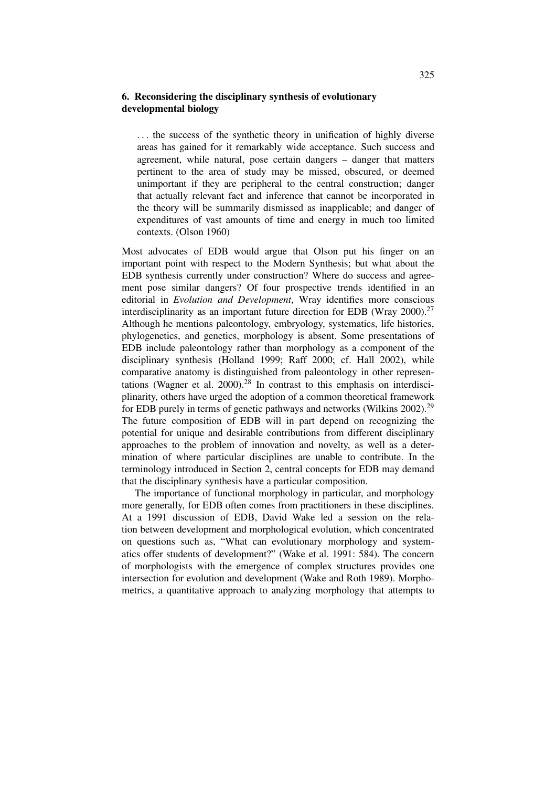## **6. Reconsidering the disciplinary synthesis of evolutionary developmental biology**

*...* the success of the synthetic theory in unification of highly diverse areas has gained for it remarkably wide acceptance. Such success and agreement, while natural, pose certain dangers – danger that matters pertinent to the area of study may be missed, obscured, or deemed unimportant if they are peripheral to the central construction; danger that actually relevant fact and inference that cannot be incorporated in the theory will be summarily dismissed as inapplicable; and danger of expenditures of vast amounts of time and energy in much too limited contexts. (Olson 1960)

Most advocates of EDB would argue that Olson put his finger on an important point with respect to the Modern Synthesis; but what about the EDB synthesis currently under construction? Where do success and agreement pose similar dangers? Of four prospective trends identified in an editorial in *Evolution and Development*, Wray identifies more conscious interdisciplinarity as an important future direction for EDB (Wray  $2000$ ).<sup>27</sup> Although he mentions paleontology, embryology, systematics, life histories, phylogenetics, and genetics, morphology is absent. Some presentations of EDB include paleontology rather than morphology as a component of the disciplinary synthesis (Holland 1999; Raff 2000; cf. Hall 2002), while comparative anatomy is distinguished from paleontology in other representations (Wagner et al. 2000).<sup>28</sup> In contrast to this emphasis on interdisciplinarity, others have urged the adoption of a common theoretical framework for EDB purely in terms of genetic pathways and networks (Wilkins 2002).<sup>29</sup> The future composition of EDB will in part depend on recognizing the potential for unique and desirable contributions from different disciplinary approaches to the problem of innovation and novelty, as well as a determination of where particular disciplines are unable to contribute. In the terminology introduced in Section 2, central concepts for EDB may demand that the disciplinary synthesis have a particular composition.

The importance of functional morphology in particular, and morphology more generally, for EDB often comes from practitioners in these disciplines. At a 1991 discussion of EDB, David Wake led a session on the relation between development and morphological evolution, which concentrated on questions such as, "What can evolutionary morphology and systematics offer students of development?" (Wake et al. 1991: 584). The concern of morphologists with the emergence of complex structures provides one intersection for evolution and development (Wake and Roth 1989). Morphometrics, a quantitative approach to analyzing morphology that attempts to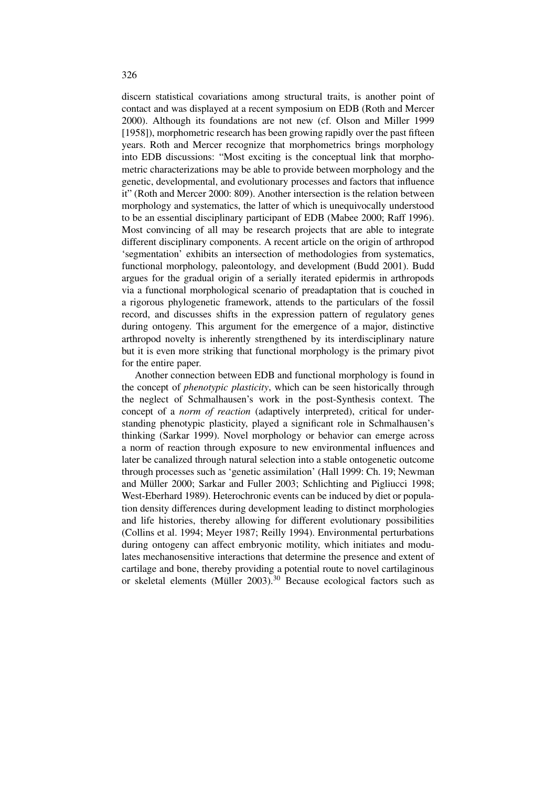discern statistical covariations among structural traits, is another point of contact and was displayed at a recent symposium on EDB (Roth and Mercer 2000). Although its foundations are not new (cf. Olson and Miller 1999 [1958]), morphometric research has been growing rapidly over the past fifteen years. Roth and Mercer recognize that morphometrics brings morphology into EDB discussions: "Most exciting is the conceptual link that morphometric characterizations may be able to provide between morphology and the genetic, developmental, and evolutionary processes and factors that influence it" (Roth and Mercer 2000: 809). Another intersection is the relation between morphology and systematics, the latter of which is unequivocally understood to be an essential disciplinary participant of EDB (Mabee 2000; Raff 1996). Most convincing of all may be research projects that are able to integrate different disciplinary components. A recent article on the origin of arthropod 'segmentation' exhibits an intersection of methodologies from systematics, functional morphology, paleontology, and development (Budd 2001). Budd argues for the gradual origin of a serially iterated epidermis in arthropods via a functional morphological scenario of preadaptation that is couched in a rigorous phylogenetic framework, attends to the particulars of the fossil record, and discusses shifts in the expression pattern of regulatory genes during ontogeny. This argument for the emergence of a major, distinctive arthropod novelty is inherently strengthened by its interdisciplinary nature but it is even more striking that functional morphology is the primary pivot for the entire paper.

Another connection between EDB and functional morphology is found in the concept of *phenotypic plasticity*, which can be seen historically through the neglect of Schmalhausen's work in the post-Synthesis context. The concept of a *norm of reaction* (adaptively interpreted), critical for understanding phenotypic plasticity, played a significant role in Schmalhausen's thinking (Sarkar 1999). Novel morphology or behavior can emerge across a norm of reaction through exposure to new environmental influences and later be canalized through natural selection into a stable ontogenetic outcome through processes such as 'genetic assimilation' (Hall 1999: Ch. 19; Newman and Müller 2000; Sarkar and Fuller 2003; Schlichting and Pigliucci 1998; West-Eberhard 1989). Heterochronic events can be induced by diet or population density differences during development leading to distinct morphologies and life histories, thereby allowing for different evolutionary possibilities (Collins et al. 1994; Meyer 1987; Reilly 1994). Environmental perturbations during ontogeny can affect embryonic motility, which initiates and modulates mechanosensitive interactions that determine the presence and extent of cartilage and bone, thereby providing a potential route to novel cartilaginous or skeletal elements (Müller 2003).<sup>30</sup> Because ecological factors such as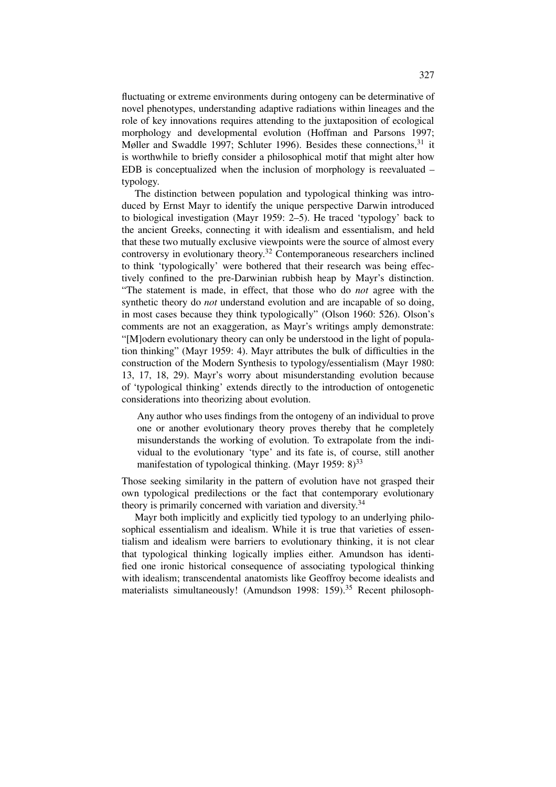fluctuating or extreme environments during ontogeny can be determinative of novel phenotypes, understanding adaptive radiations within lineages and the role of key innovations requires attending to the juxtaposition of ecological morphology and developmental evolution (Hoffman and Parsons 1997; Møller and Swaddle 1997; Schluter 1996). Besides these connections, <sup>31</sup> it is worthwhile to briefly consider a philosophical motif that might alter how EDB is conceptualized when the inclusion of morphology is reevaluated – typology.

The distinction between population and typological thinking was introduced by Ernst Mayr to identify the unique perspective Darwin introduced to biological investigation (Mayr 1959: 2–5). He traced 'typology' back to the ancient Greeks, connecting it with idealism and essentialism, and held that these two mutually exclusive viewpoints were the source of almost every controversy in evolutionary theory.<sup>32</sup> Contemporaneous researchers inclined to think 'typologically' were bothered that their research was being effectively confined to the pre-Darwinian rubbish heap by Mayr's distinction. "The statement is made, in effect, that those who do *not* agree with the synthetic theory do *not* understand evolution and are incapable of so doing, in most cases because they think typologically" (Olson 1960: 526). Olson's comments are not an exaggeration, as Mayr's writings amply demonstrate: "[M]odern evolutionary theory can only be understood in the light of population thinking" (Mayr 1959: 4). Mayr attributes the bulk of difficulties in the construction of the Modern Synthesis to typology/essentialism (Mayr 1980: 13, 17, 18, 29). Mayr's worry about misunderstanding evolution because of 'typological thinking' extends directly to the introduction of ontogenetic considerations into theorizing about evolution.

Any author who uses findings from the ontogeny of an individual to prove one or another evolutionary theory proves thereby that he completely misunderstands the working of evolution. To extrapolate from the individual to the evolutionary 'type' and its fate is, of course, still another manifestation of typological thinking. (Mayr 1959:  $8<sup>33</sup>$ )

Those seeking similarity in the pattern of evolution have not grasped their own typological predilections or the fact that contemporary evolutionary theory is primarily concerned with variation and diversity.<sup>34</sup>

Mayr both implicitly and explicitly tied typology to an underlying philosophical essentialism and idealism. While it is true that varieties of essentialism and idealism were barriers to evolutionary thinking, it is not clear that typological thinking logically implies either. Amundson has identified one ironic historical consequence of associating typological thinking with idealism; transcendental anatomists like Geoffroy become idealists and materialists simultaneously! (Amundson 1998: 159).<sup>35</sup> Recent philosoph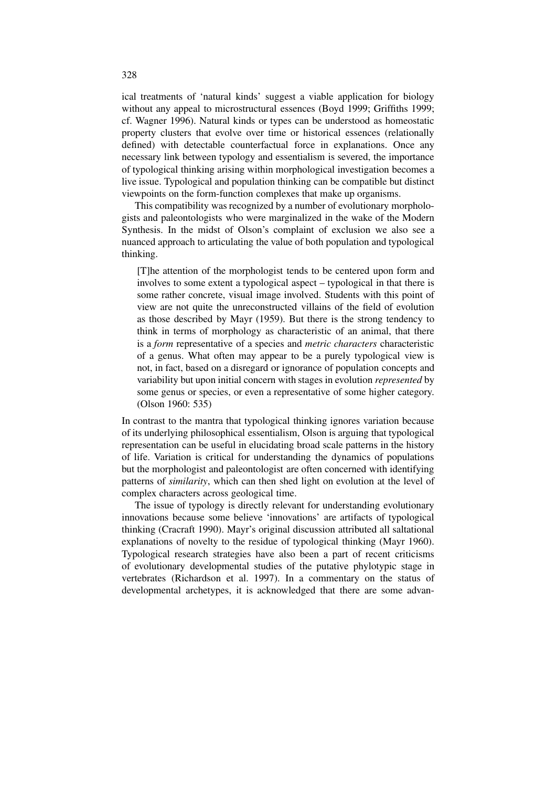ical treatments of 'natural kinds' suggest a viable application for biology without any appeal to microstructural essences (Boyd 1999; Griffiths 1999; cf. Wagner 1996). Natural kinds or types can be understood as homeostatic property clusters that evolve over time or historical essences (relationally defined) with detectable counterfactual force in explanations. Once any necessary link between typology and essentialism is severed, the importance of typological thinking arising within morphological investigation becomes a live issue. Typological and population thinking can be compatible but distinct viewpoints on the form-function complexes that make up organisms.

This compatibility was recognized by a number of evolutionary morphologists and paleontologists who were marginalized in the wake of the Modern Synthesis. In the midst of Olson's complaint of exclusion we also see a nuanced approach to articulating the value of both population and typological thinking.

[T]he attention of the morphologist tends to be centered upon form and involves to some extent a typological aspect – typological in that there is some rather concrete, visual image involved. Students with this point of view are not quite the unreconstructed villains of the field of evolution as those described by Mayr (1959). But there is the strong tendency to think in terms of morphology as characteristic of an animal, that there is a *form* representative of a species and *metric characters* characteristic of a genus. What often may appear to be a purely typological view is not, in fact, based on a disregard or ignorance of population concepts and variability but upon initial concern with stages in evolution *represented* by some genus or species, or even a representative of some higher category. (Olson 1960: 535)

In contrast to the mantra that typological thinking ignores variation because of its underlying philosophical essentialism, Olson is arguing that typological representation can be useful in elucidating broad scale patterns in the history of life. Variation is critical for understanding the dynamics of populations but the morphologist and paleontologist are often concerned with identifying patterns of *similarity*, which can then shed light on evolution at the level of complex characters across geological time.

The issue of typology is directly relevant for understanding evolutionary innovations because some believe 'innovations' are artifacts of typological thinking (Cracraft 1990). Mayr's original discussion attributed all saltational explanations of novelty to the residue of typological thinking (Mayr 1960). Typological research strategies have also been a part of recent criticisms of evolutionary developmental studies of the putative phylotypic stage in vertebrates (Richardson et al. 1997). In a commentary on the status of developmental archetypes, it is acknowledged that there are some advan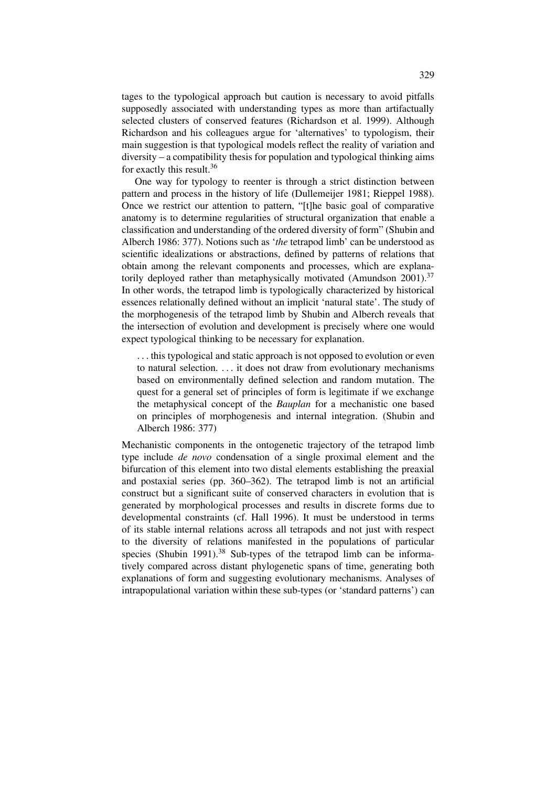tages to the typological approach but caution is necessary to avoid pitfalls supposedly associated with understanding types as more than artifactually selected clusters of conserved features (Richardson et al. 1999). Although Richardson and his colleagues argue for 'alternatives' to typologism, their main suggestion is that typological models reflect the reality of variation and diversity – a compatibility thesis for population and typological thinking aims for exactly this result.<sup>36</sup>

One way for typology to reenter is through a strict distinction between pattern and process in the history of life (Dullemeijer 1981; Rieppel 1988). Once we restrict our attention to pattern, "[t]he basic goal of comparative anatomy is to determine regularities of structural organization that enable a classification and understanding of the ordered diversity of form" (Shubin and Alberch 1986: 377). Notions such as '*the* tetrapod limb' can be understood as scientific idealizations or abstractions, defined by patterns of relations that obtain among the relevant components and processes, which are explanatorily deployed rather than metaphysically motivated (Amundson  $2001$ ).<sup>37</sup> In other words, the tetrapod limb is typologically characterized by historical essences relationally defined without an implicit 'natural state'. The study of the morphogenesis of the tetrapod limb by Shubin and Alberch reveals that the intersection of evolution and development is precisely where one would expect typological thinking to be necessary for explanation.

*...* this typological and static approach is not opposed to evolution or even to natural selection. *...* it does not draw from evolutionary mechanisms based on environmentally defined selection and random mutation. The quest for a general set of principles of form is legitimate if we exchange the metaphysical concept of the *Bauplan* for a mechanistic one based on principles of morphogenesis and internal integration. (Shubin and Alberch 1986: 377)

Mechanistic components in the ontogenetic trajectory of the tetrapod limb type include *de novo* condensation of a single proximal element and the bifurcation of this element into two distal elements establishing the preaxial and postaxial series (pp. 360–362). The tetrapod limb is not an artificial construct but a significant suite of conserved characters in evolution that is generated by morphological processes and results in discrete forms due to developmental constraints (cf. Hall 1996). It must be understood in terms of its stable internal relations across all tetrapods and not just with respect to the diversity of relations manifested in the populations of particular species (Shubin 1991).<sup>38</sup> Sub-types of the tetrapod limb can be informatively compared across distant phylogenetic spans of time, generating both explanations of form and suggesting evolutionary mechanisms. Analyses of intrapopulational variation within these sub-types (or 'standard patterns') can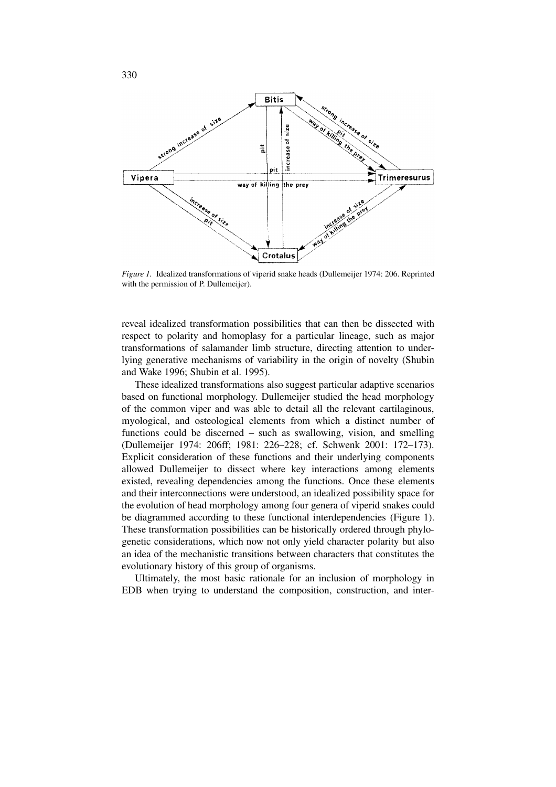

*Figure 1.* Idealized transformations of viperid snake heads (Dullemeijer 1974: 206. Reprinted with the permission of P. Dullemeijer).

reveal idealized transformation possibilities that can then be dissected with respect to polarity and homoplasy for a particular lineage, such as major transformations of salamander limb structure, directing attention to underlying generative mechanisms of variability in the origin of novelty (Shubin and Wake 1996; Shubin et al. 1995).

These idealized transformations also suggest particular adaptive scenarios based on functional morphology. Dullemeijer studied the head morphology of the common viper and was able to detail all the relevant cartilaginous, myological, and osteological elements from which a distinct number of functions could be discerned – such as swallowing, vision, and smelling (Dullemeijer 1974: 206ff; 1981: 226–228; cf. Schwenk 2001: 172–173). Explicit consideration of these functions and their underlying components allowed Dullemeijer to dissect where key interactions among elements existed, revealing dependencies among the functions. Once these elements and their interconnections were understood, an idealized possibility space for the evolution of head morphology among four genera of viperid snakes could be diagrammed according to these functional interdependencies (Figure 1). These transformation possibilities can be historically ordered through phylogenetic considerations, which now not only yield character polarity but also an idea of the mechanistic transitions between characters that constitutes the evolutionary history of this group of organisms.

Ultimately, the most basic rationale for an inclusion of morphology in EDB when trying to understand the composition, construction, and inter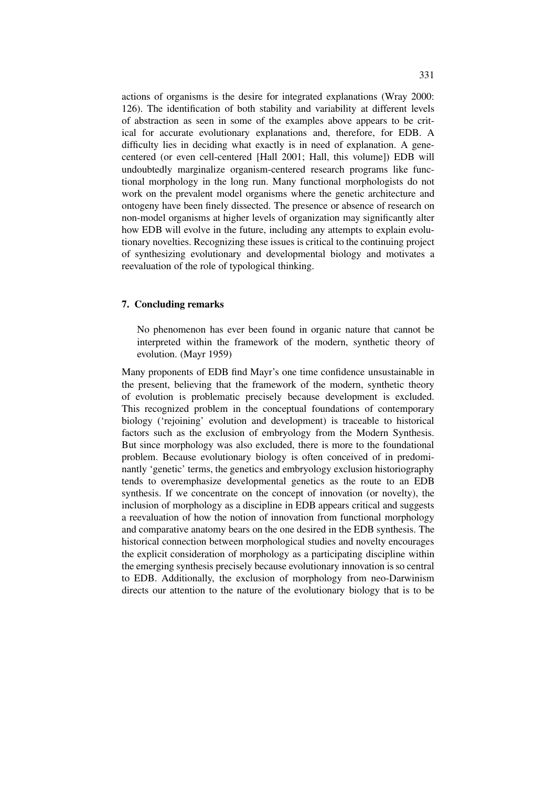actions of organisms is the desire for integrated explanations (Wray 2000: 126). The identification of both stability and variability at different levels of abstraction as seen in some of the examples above appears to be critical for accurate evolutionary explanations and, therefore, for EDB. A difficulty lies in deciding what exactly is in need of explanation. A genecentered (or even cell-centered [Hall 2001; Hall, this volume]) EDB will undoubtedly marginalize organism-centered research programs like functional morphology in the long run. Many functional morphologists do not work on the prevalent model organisms where the genetic architecture and ontogeny have been finely dissected. The presence or absence of research on non-model organisms at higher levels of organization may significantly alter how EDB will evolve in the future, including any attempts to explain evolutionary novelties. Recognizing these issues is critical to the continuing project of synthesizing evolutionary and developmental biology and motivates a reevaluation of the role of typological thinking.

### **7. Concluding remarks**

No phenomenon has ever been found in organic nature that cannot be interpreted within the framework of the modern, synthetic theory of evolution. (Mayr 1959)

Many proponents of EDB find Mayr's one time confidence unsustainable in the present, believing that the framework of the modern, synthetic theory of evolution is problematic precisely because development is excluded. This recognized problem in the conceptual foundations of contemporary biology ('rejoining' evolution and development) is traceable to historical factors such as the exclusion of embryology from the Modern Synthesis. But since morphology was also excluded, there is more to the foundational problem. Because evolutionary biology is often conceived of in predominantly 'genetic' terms, the genetics and embryology exclusion historiography tends to overemphasize developmental genetics as the route to an EDB synthesis. If we concentrate on the concept of innovation (or novelty), the inclusion of morphology as a discipline in EDB appears critical and suggests a reevaluation of how the notion of innovation from functional morphology and comparative anatomy bears on the one desired in the EDB synthesis. The historical connection between morphological studies and novelty encourages the explicit consideration of morphology as a participating discipline within the emerging synthesis precisely because evolutionary innovation is so central to EDB. Additionally, the exclusion of morphology from neo-Darwinism directs our attention to the nature of the evolutionary biology that is to be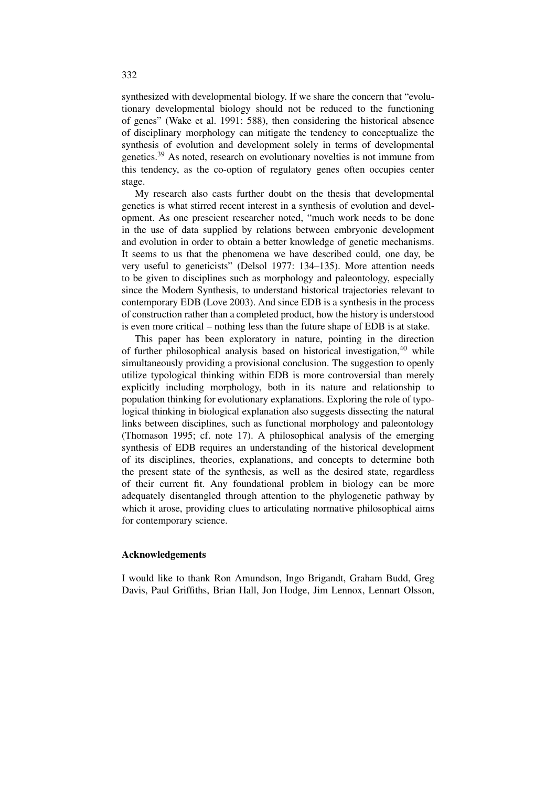synthesized with developmental biology. If we share the concern that "evolutionary developmental biology should not be reduced to the functioning of genes" (Wake et al. 1991: 588), then considering the historical absence of disciplinary morphology can mitigate the tendency to conceptualize the synthesis of evolution and development solely in terms of developmental genetics.<sup>39</sup> As noted, research on evolutionary novelties is not immune from this tendency, as the co-option of regulatory genes often occupies center stage.

My research also casts further doubt on the thesis that developmental genetics is what stirred recent interest in a synthesis of evolution and development. As one prescient researcher noted, "much work needs to be done in the use of data supplied by relations between embryonic development and evolution in order to obtain a better knowledge of genetic mechanisms. It seems to us that the phenomena we have described could, one day, be very useful to geneticists" (Delsol 1977: 134–135). More attention needs to be given to disciplines such as morphology and paleontology, especially since the Modern Synthesis, to understand historical trajectories relevant to contemporary EDB (Love 2003). And since EDB is a synthesis in the process of construction rather than a completed product, how the history is understood is even more critical – nothing less than the future shape of EDB is at stake.

This paper has been exploratory in nature, pointing in the direction of further philosophical analysis based on historical investigation, $40$  while simultaneously providing a provisional conclusion. The suggestion to openly utilize typological thinking within EDB is more controversial than merely explicitly including morphology, both in its nature and relationship to population thinking for evolutionary explanations. Exploring the role of typological thinking in biological explanation also suggests dissecting the natural links between disciplines, such as functional morphology and paleontology (Thomason 1995; cf. note 17). A philosophical analysis of the emerging synthesis of EDB requires an understanding of the historical development of its disciplines, theories, explanations, and concepts to determine both the present state of the synthesis, as well as the desired state, regardless of their current fit. Any foundational problem in biology can be more adequately disentangled through attention to the phylogenetic pathway by which it arose, providing clues to articulating normative philosophical aims for contemporary science.

### **Acknowledgements**

I would like to thank Ron Amundson, Ingo Brigandt, Graham Budd, Greg Davis, Paul Griffiths, Brian Hall, Jon Hodge, Jim Lennox, Lennart Olsson,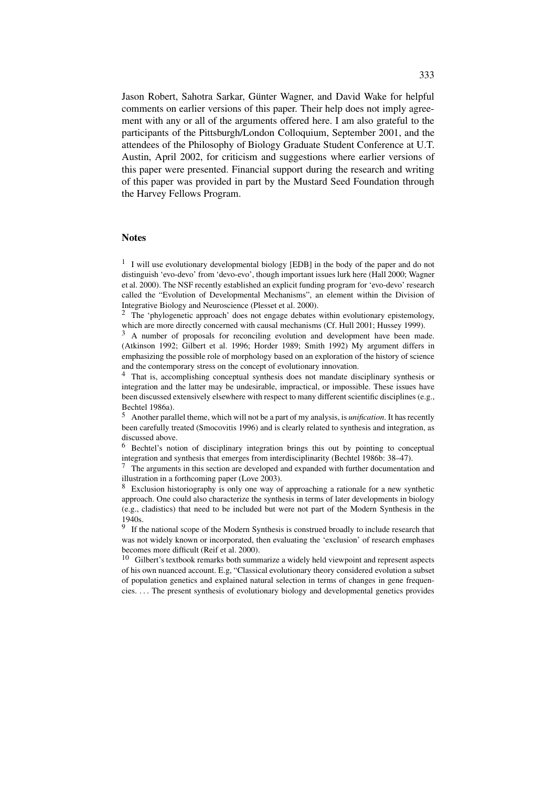Jason Robert, Sahotra Sarkar, Günter Wagner, and David Wake for helpful comments on earlier versions of this paper. Their help does not imply agreement with any or all of the arguments offered here. I am also grateful to the participants of the Pittsburgh/London Colloquium, September 2001, and the attendees of the Philosophy of Biology Graduate Student Conference at U.T. Austin, April 2002, for criticism and suggestions where earlier versions of this paper were presented. Financial support during the research and writing of this paper was provided in part by the Mustard Seed Foundation through the Harvey Fellows Program.

#### **Notes**

 $1$  I will use evolutionary developmental biology [EDB] in the body of the paper and do not distinguish 'evo-devo' from 'devo-evo', though important issues lurk here (Hall 2000; Wagner et al. 2000). The NSF recently established an explicit funding program for 'evo-devo' research called the "Evolution of Developmental Mechanisms", an element within the Division of Integrative Biology and Neuroscience (Plesset et al. 2000).

<sup>2</sup> The 'phylogenetic approach' does not engage debates within evolutionary epistemology, which are more directly concerned with causal mechanisms (Cf. Hull 2001; Hussey 1999).

<sup>3</sup> A number of proposals for reconciling evolution and development have been made. (Atkinson 1992; Gilbert et al. 1996; Horder 1989; Smith 1992) My argument differs in emphasizing the possible role of morphology based on an exploration of the history of science and the contemporary stress on the concept of evolutionary innovation.

That is, accomplishing conceptual synthesis does not mandate disciplinary synthesis or integration and the latter may be undesirable, impractical, or impossible. These issues have been discussed extensively elsewhere with respect to many different scientific disciplines (e.g., Bechtel 1986a).<br> $\frac{5}{2}$  Another para

<sup>5</sup> Another parallel theme, which will not be a part of my analysis, is *unification*. It has recently been carefully treated (Smocovitis 1996) and is clearly related to synthesis and integration, as discussed above.

<sup>6</sup> Bechtel's notion of disciplinary integration brings this out by pointing to conceptual integration and synthesis that emerges from interdisciplinarity (Bechtel 1986b: 38–47).

<sup>7</sup> The arguments in this section are developed and expanded with further documentation and illustration in a forthcoming paper (Love 2003).

Exclusion historiography is only one way of approaching a rationale for a new synthetic approach. One could also characterize the synthesis in terms of later developments in biology (e.g., cladistics) that need to be included but were not part of the Modern Synthesis in the 1940s.

<sup>9</sup> If the national scope of the Modern Synthesis is construed broadly to include research that was not widely known or incorporated, then evaluating the 'exclusion' of research emphases becomes more difficult (Reif et al. 2000).

 $10$  Gilbert's textbook remarks both summarize a widely held viewpoint and represent aspects of his own nuanced account. E.g, "Classical evolutionary theory considered evolution a subset of population genetics and explained natural selection in terms of changes in gene frequencies. *...* The present synthesis of evolutionary biology and developmental genetics provides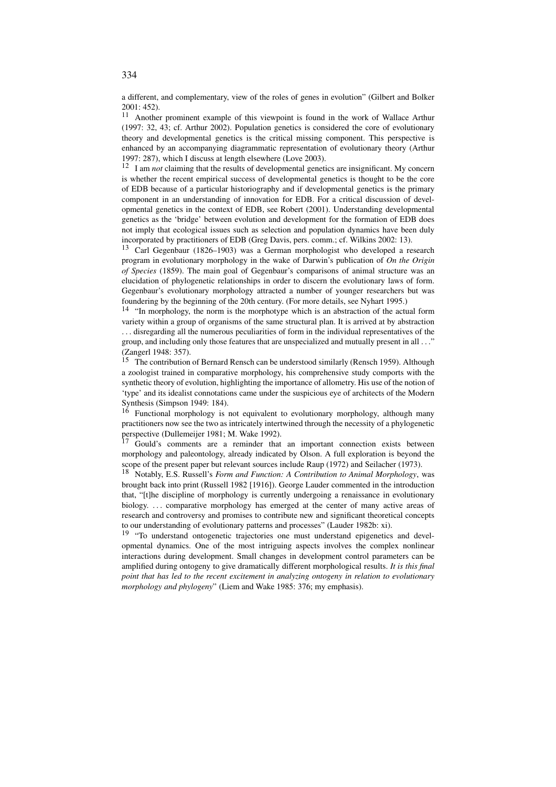a different, and complementary, view of the roles of genes in evolution" (Gilbert and Bolker 2001: 452).

<sup>11</sup> Another prominent example of this viewpoint is found in the work of Wallace Arthur (1997: 32, 43; cf. Arthur 2002). Population genetics is considered the core of evolutionary theory and developmental genetics is the critical missing component. This perspective is enhanced by an accompanying diagrammatic representation of evolutionary theory (Arthur 1997: 287), which I discuss at length elsewhere (Love 2003).

<sup>12</sup> I am *not* claiming that the results of developmental genetics are insignificant. My concern is whether the recent empirical success of developmental genetics is thought to be the core of EDB because of a particular historiography and if developmental genetics is the primary component in an understanding of innovation for EDB. For a critical discussion of developmental genetics in the context of EDB, see Robert (2001). Understanding developmental genetics as the 'bridge' between evolution and development for the formation of EDB does not imply that ecological issues such as selection and population dynamics have been duly incorporated by practitioners of EDB (Greg Davis, pers. comm.; cf. Wilkins 2002: 13).

<sup>13</sup> Carl Gegenbaur (1826–1903) was a German morphologist who developed a research program in evolutionary morphology in the wake of Darwin's publication of *On the Origin of Species* (1859). The main goal of Gegenbaur's comparisons of animal structure was an elucidation of phylogenetic relationships in order to discern the evolutionary laws of form. Gegenbaur's evolutionary morphology attracted a number of younger researchers but was foundering by the beginning of the 20th century. (For more details, see Nyhart 1995.)

<sup>14</sup> "In morphology, the norm is the morphotype which is an abstraction of the actual form variety within a group of organisms of the same structural plan. It is arrived at by abstraction *...* disregarding all the numerous peculiarities of form in the individual representatives of the group, and including only those features that are unspecialized and mutually present in all *...*" (Zangerl 1948: 357).

<sup>15</sup> The contribution of Bernard Rensch can be understood similarly (Rensch 1959). Although a zoologist trained in comparative morphology, his comprehensive study comports with the synthetic theory of evolution, highlighting the importance of allometry. His use of the notion of 'type' and its idealist connotations came under the suspicious eye of architects of the Modern Synthesis (Simpson 1949: 184).

<sup>16</sup> Functional morphology is not equivalent to evolutionary morphology, although many practitioners now see the two as intricately intertwined through the necessity of a phylogenetic perspective (Dullemeijer 1981; M. Wake 1992).<br>17 Gould's street

<sup>17</sup> Gould's comments are a reminder that an important connection exists between morphology and paleontology, already indicated by Olson. A full exploration is beyond the scope of the present paper but relevant sources include Raup (1972) and Seilacher (1973).

<sup>18</sup> Notably, E.S. Russell's *Form and Function: A Contribution to Animal Morphology*, was brought back into print (Russell 1982 [1916]). George Lauder commented in the introduction that, "[t]he discipline of morphology is currently undergoing a renaissance in evolutionary biology. *...* comparative morphology has emerged at the center of many active areas of research and controversy and promises to contribute new and significant theoretical concepts to our understanding of evolutionary patterns and processes" (Lauder 1982b: xi).

<sup>19</sup> "To understand ontogenetic trajectories one must understand epigenetics and developmental dynamics. One of the most intriguing aspects involves the complex nonlinear interactions during development. Small changes in development control parameters can be amplified during ontogeny to give dramatically different morphological results. *It is this final point that has led to the recent excitement in analyzing ontogeny in relation to evolutionary morphology and phylogeny*" (Liem and Wake 1985: 376; my emphasis).

### 334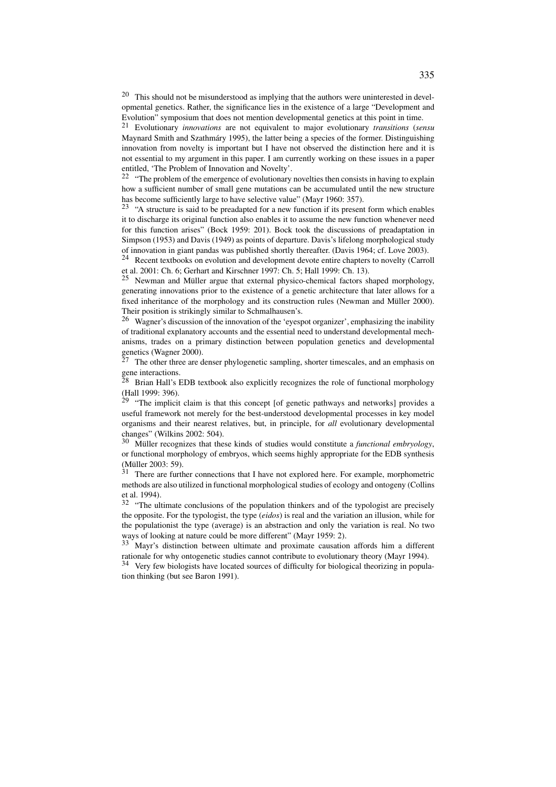$20$  This should not be misunderstood as implying that the authors were uninterested in developmental genetics. Rather, the significance lies in the existence of a large "Development and Evolution" symposium that does not mention developmental genetics at this point in time.

<sup>21</sup> Evolutionary *innovations* are not equivalent to major evolutionary *transitions* (*sensu* Maynard Smith and Szathmáry 1995), the latter being a species of the former. Distinguishing innovation from novelty is important but I have not observed the distinction here and it is not essential to my argument in this paper. I am currently working on these issues in a paper entitled, 'The Problem of Innovation and Novelty'.

 $22$  "The problem of the emergence of evolutionary novelties then consists in having to explain how a sufficient number of small gene mutations can be accumulated until the new structure has become sufficiently large to have selective value" (Mayr 1960: 357).

<sup>23</sup> "A structure is said to be preadapted for a new function if its present form which enables it to discharge its original function also enables it to assume the new function whenever need for this function arises" (Bock 1959: 201). Bock took the discussions of preadaptation in Simpson (1953) and Davis (1949) as points of departure. Davis's lifelong morphological study of innovation in giant pandas was published shortly thereafter. (Davis 1964; cf. Love 2003).

Recent textbooks on evolution and development devote entire chapters to novelty (Carroll et al. 2001: Ch. 6; Gerhart and Kirschner 1997: Ch. 5; Hall 1999: Ch. 13).

<sup>25</sup> Newman and Müller argue that external physico-chemical factors shaped morphology, generating innovations prior to the existence of a genetic architecture that later allows for a fixed inheritance of the morphology and its construction rules (Newman and Müller 2000). Their position is strikingly similar to Schmalhausen's.

<sup>26</sup> Wagner's discussion of the innovation of the 'eyespot organizer', emphasizing the inability of traditional explanatory accounts and the essential need to understand developmental mechanisms, trades on a primary distinction between population genetics and developmental genetics (Wagner 2000).

 $^{27}$  The other three are denser phylogenetic sampling, shorter timescales, and an emphasis on gene interactions.

 $28$  Brian Hall's EDB textbook also explicitly recognizes the role of functional morphology (Hall 1999: 396).

 $29$  "The implicit claim is that this concept [of genetic pathways and networks] provides a useful framework not merely for the best-understood developmental processes in key model organisms and their nearest relatives, but, in principle, for *all* evolutionary developmental changes" (Wilkins 2002: 504).

<sup>30</sup> Müller recognizes that these kinds of studies would constitute a *functional embryology*, or functional morphology of embryos, which seems highly appropriate for the EDB synthesis (Müller 2003: 59).

 $31$  There are further connections that I have not explored here. For example, morphometric methods are also utilized in functional morphological studies of ecology and ontogeny (Collins et al. 1994).

 $32$  "The ultimate conclusions of the population thinkers and of the typologist are precisely the opposite. For the typologist, the type (*eidos*) is real and the variation an illusion, while for the populationist the type (average) is an abstraction and only the variation is real. No two ways of looking at nature could be more different" (Mayr 1959: 2).

<sup>33</sup> Mayr's distinction between ultimate and proximate causation affords him a different rationale for why ontogenetic studies cannot contribute to evolutionary theory (Mayr 1994).

<sup>34</sup> Very few biologists have located sources of difficulty for biological theorizing in population thinking (but see Baron 1991).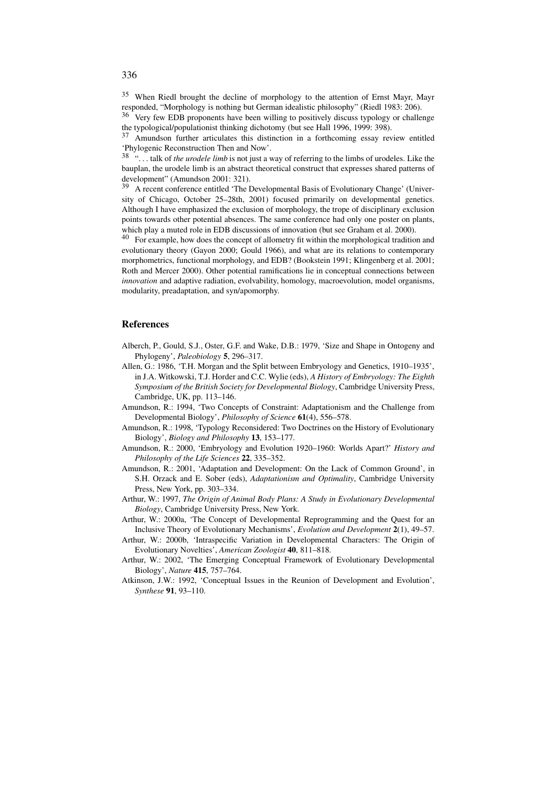<sup>35</sup> When Riedl brought the decline of morphology to the attention of Ernst Mayr, Mayr responded, "Morphology is nothing but German idealistic philosophy" (Riedl 1983: 206).

<sup>36</sup> Very few EDB proponents have been willing to positively discuss typology or challenge the typological/populationist thinking dichotomy (but see Hall 1996, 1999: 398).

<sup>37</sup> Amundson further articulates this distinction in a forthcoming essay review entitled 'Phylogenic Reconstruction Then and Now'.

<sup>38</sup> "*...* talk of *the urodele limb* is not just a way of referring to the limbs of urodeles. Like the bauplan, the urodele limb is an abstract theoretical construct that expresses shared patterns of development" (Amundson 2001: 321).

<sup>39</sup> A recent conference entitled 'The Developmental Basis of Evolutionary Change' (University of Chicago, October 25–28th, 2001) focused primarily on developmental genetics. Although I have emphasized the exclusion of morphology, the trope of disciplinary exclusion points towards other potential absences. The same conference had only one poster on plants, which play a muted role in EDB discussions of innovation (but see Graham et al. 2000).

<sup>40</sup> For example, how does the concept of allometry fit within the morphological tradition and evolutionary theory (Gayon 2000; Gould 1966), and what are its relations to contemporary morphometrics, functional morphology, and EDB? (Bookstein 1991; Klingenberg et al. 2001; Roth and Mercer 2000). Other potential ramifications lie in conceptual connections between *innovation* and adaptive radiation, evolvability, homology, macroevolution, model organisms, modularity, preadaptation, and syn/apomorphy.

#### **References**

- Alberch, P., Gould, S.J., Oster, G.F. and Wake, D.B.: 1979, 'Size and Shape in Ontogeny and Phylogeny', *Paleobiology* **5**, 296–317.
- Allen, G.: 1986, 'T.H. Morgan and the Split between Embryology and Genetics, 1910–1935', in J.A. Witkowski, T.J. Horder and C.C. Wylie (eds), *A History of Embryology: The Eighth Symposium of the British Society for Developmental Biology*, Cambridge University Press, Cambridge, UK, pp. 113–146.
- Amundson, R.: 1994, 'Two Concepts of Constraint: Adaptationism and the Challenge from Developmental Biology', *Philosophy of Science* **61**(4), 556–578.
- Amundson, R.: 1998, 'Typology Reconsidered: Two Doctrines on the History of Evolutionary Biology', *Biology and Philosophy* **13**, 153–177.
- Amundson, R.: 2000, 'Embryology and Evolution 1920–1960: Worlds Apart?' *History and Philosophy of the Life Sciences* **22**, 335–352.
- Amundson, R.: 2001, 'Adaptation and Development: On the Lack of Common Ground', in S.H. Orzack and E. Sober (eds), *Adaptationism and Optimality*, Cambridge University Press, New York, pp. 303–334.
- Arthur, W.: 1997, *The Origin of Animal Body Plans: A Study in Evolutionary Developmental Biology*, Cambridge University Press, New York.
- Arthur, W.: 2000a, 'The Concept of Developmental Reprogramming and the Quest for an Inclusive Theory of Evolutionary Mechanisms', *Evolution and Development* **2**(1), 49–57.
- Arthur, W.: 2000b, 'Intraspecific Variation in Developmental Characters: The Origin of Evolutionary Novelties', *American Zoologist* **40**, 811–818.
- Arthur, W.: 2002, 'The Emerging Conceptual Framework of Evolutionary Developmental Biology', *Nature* **415**, 757–764.
- Atkinson, J.W.: 1992, 'Conceptual Issues in the Reunion of Development and Evolution', *Synthese* **91**, 93–110.

336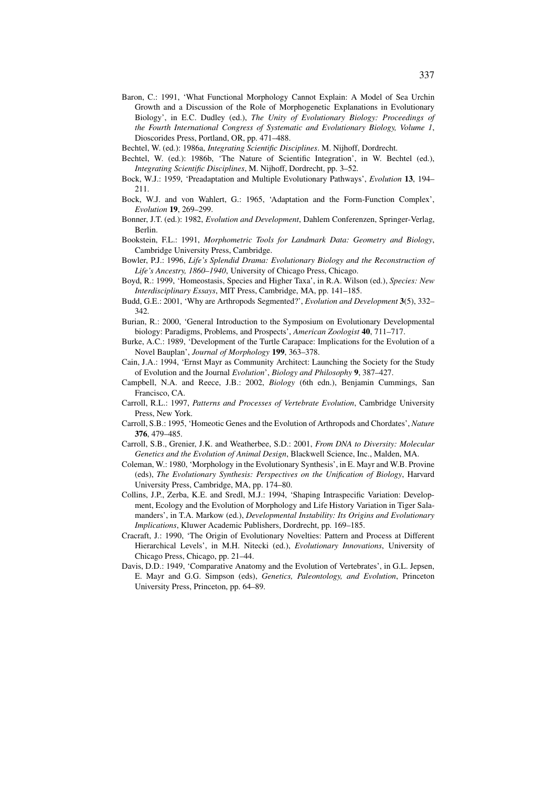- Baron, C.: 1991, 'What Functional Morphology Cannot Explain: A Model of Sea Urchin Growth and a Discussion of the Role of Morphogenetic Explanations in Evolutionary Biology', in E.C. Dudley (ed.), *The Unity of Evolutionary Biology: Proceedings of the Fourth International Congress of Systematic and Evolutionary Biology, Volume 1*, Dioscorides Press, Portland, OR, pp. 471–488.
- Bechtel, W. (ed.): 1986a, *Integrating Scientific Disciplines*. M. Nijhoff, Dordrecht.
- Bechtel, W. (ed.): 1986b, 'The Nature of Scientific Integration', in W. Bechtel (ed.), *Integrating Scientific Disciplines*, M. Nijhoff, Dordrecht, pp. 3–52.
- Bock, W.J.: 1959, 'Preadaptation and Multiple Evolutionary Pathways', *Evolution* **13**, 194– 211.
- Bock, W.J. and von Wahlert, G.: 1965, 'Adaptation and the Form-Function Complex', *Evolution* **19**, 269–299.
- Bonner, J.T. (ed.): 1982, *Evolution and Development*, Dahlem Conferenzen, Springer-Verlag, Berlin.
- Bookstein, F.L.: 1991, *Morphometric Tools for Landmark Data: Geometry and Biology*, Cambridge University Press, Cambridge.
- Bowler, P.J.: 1996, *Life's Splendid Drama: Evolutionary Biology and the Reconstruction of Life's Ancestry, 1860–1940*, University of Chicago Press, Chicago.
- Boyd, R.: 1999, 'Homeostasis, Species and Higher Taxa', in R.A. Wilson (ed.), *Species: New Interdisciplinary Essays*, MIT Press, Cambridge, MA, pp. 141–185.
- Budd, G.E.: 2001, 'Why are Arthropods Segmented?', *Evolution and Development* **3**(5), 332– 342.
- Burian, R.: 2000, 'General Introduction to the Symposium on Evolutionary Developmental biology: Paradigms, Problems, and Prospects', *American Zoologist* **40**, 711–717.
- Burke, A.C.: 1989, 'Development of the Turtle Carapace: Implications for the Evolution of a Novel Bauplan', *Journal of Morphology* **199**, 363–378.
- Cain, J.A.: 1994, 'Ernst Mayr as Community Architect: Launching the Society for the Study of Evolution and the Journal *Evolution*', *Biology and Philosophy* **9**, 387–427.
- Campbell, N.A. and Reece, J.B.: 2002, *Biology* (6th edn.), Benjamin Cummings, San Francisco, CA.
- Carroll, R.L.: 1997, *Patterns and Processes of Vertebrate Evolution*, Cambridge University Press, New York.
- Carroll, S.B.: 1995, 'Homeotic Genes and the Evolution of Arthropods and Chordates', *Nature* **376**, 479–485.
- Carroll, S.B., Grenier, J.K. and Weatherbee, S.D.: 2001, *From DNA to Diversity: Molecular Genetics and the Evolution of Animal Design*, Blackwell Science, Inc., Malden, MA.
- Coleman, W.: 1980, 'Morphology in the Evolutionary Synthesis', in E. Mayr and W.B. Provine (eds), *The Evolutionary Synthesis: Perspectives on the Unification of Biology*, Harvard University Press, Cambridge, MA, pp. 174–80.
- Collins, J.P., Zerba, K.E. and Sredl, M.J.: 1994, 'Shaping Intraspecific Variation: Development, Ecology and the Evolution of Morphology and Life History Variation in Tiger Salamanders', in T.A. Markow (ed.), *Developmental Instability: Its Origins and Evolutionary Implications*, Kluwer Academic Publishers, Dordrecht, pp. 169–185.
- Cracraft, J.: 1990, 'The Origin of Evolutionary Novelties: Pattern and Process at Different Hierarchical Levels', in M.H. Nitecki (ed.), *Evolutionary Innovations*, University of Chicago Press, Chicago, pp. 21–44.
- Davis, D.D.: 1949, 'Comparative Anatomy and the Evolution of Vertebrates', in G.L. Jepsen, E. Mayr and G.G. Simpson (eds), *Genetics, Paleontology, and Evolution*, Princeton University Press, Princeton, pp. 64–89.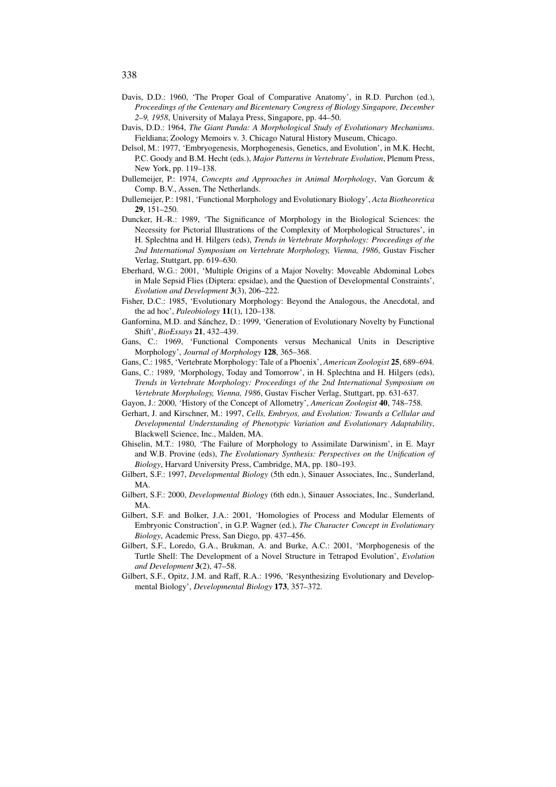- Davis, D.D.: 1960, 'The Proper Goal of Comparative Anatomy', in R.D. Purchon (ed.), *Proceedings of the Centenary and Bicentenary Congress of Biology Singapore, December 2–9, 1958*, University of Malaya Press, Singapore, pp. 44–50.
- Davis, D.D.: 1964, *The Giant Panda: A Morphological Study of Evolutionary Mechanisms*. Fieldiana; Zoology Memoirs v. 3. Chicago Natural History Museum, Chicago.
- Delsol, M.: 1977, 'Embryogenesis, Morphogenesis, Genetics, and Evolution', in M.K. Hecht, P.C. Goody and B.M. Hecht (eds.), *Major Patterns in Vertebrate Evolution*, Plenum Press, New York, pp. 119–138.
- Dullemeijer, P.: 1974, *Concepts and Approaches in Animal Morphology*, Van Gorcum & Comp. B.V., Assen, The Netherlands.
- Dullemeijer, P.: 1981, 'Functional Morphology and Evolutionary Biology', *Acta Biotheoretica* **29**, 151–250.
- Duncker, H.-R.: 1989, 'The Significance of Morphology in the Biological Sciences: the Necessity for Pictorial Illustrations of the Complexity of Morphological Structures', in H. Splechtna and H. Hilgers (eds), *Trends in Vertebrate Morphology: Proceedings of the 2nd International Symposium on Vertebrate Morphology, Vienna, 1986*, Gustav Fischer Verlag, Stuttgart, pp. 619–630.
- Eberhard, W.G.: 2001, 'Multiple Origins of a Major Novelty: Moveable Abdominal Lobes in Male Sepsid Flies (Diptera: epsidae), and the Question of Developmental Constraints', *Evolution and Development* **3**(3), 206–222.
- Fisher, D.C.: 1985, 'Evolutionary Morphology: Beyond the Analogous, the Anecdotal, and the ad hoc', *Paleobiology* **11**(1), 120–138.
- Ganfornina, M.D. and Sánchez, D.: 1999, 'Generation of Evolutionary Novelty by Functional Shift', *BioEssays* **21**, 432–439.
- Gans, C.: 1969, 'Functional Components versus Mechanical Units in Descriptive Morphology', *Journal of Morphology* **128**, 365–368.
- Gans, C.: 1985, 'Vertebrate Morphology: Tale of a Phoenix', *American Zoologist* **25**, 689–694.
- Gans, C.: 1989, 'Morphology, Today and Tomorrow', in H. Splechtna and H. Hilgers (eds), *Trends in Vertebrate Morphology: Proceedings of the 2nd International Symposium on Vertebrate Morphology, Vienna, 1986*, Gustav Fischer Verlag, Stuttgart, pp. 631-637.
- Gayon, J.: 2000, 'History of the Concept of Allometry', *American Zoologist* **40**, 748–758.
- Gerhart, J. and Kirschner, M.: 1997, *Cells, Embryos, and Evolution: Towards a Cellular and Developmental Understanding of Phenotypic Variation and Evolutionary Adaptability*, Blackwell Science, Inc., Malden, MA.
- Ghiselin, M.T.: 1980, 'The Failure of Morphology to Assimilate Darwinism', in E. Mayr and W.B. Provine (eds), *The Evolutionary Synthesis: Perspectives on the Unification of Biology*, Harvard University Press, Cambridge, MA, pp. 180–193.
- Gilbert, S.F.: 1997, *Developmental Biology* (5th edn.), Sinauer Associates, Inc., Sunderland, MA.
- Gilbert, S.F.: 2000, *Developmental Biology* (6th edn.), Sinauer Associates, Inc., Sunderland, MA.
- Gilbert, S.F. and Bolker, J.A.: 2001, 'Homologies of Process and Modular Elements of Embryonic Construction', in G.P. Wagner (ed.), *The Character Concept in Evolutionary Biology*, Academic Press, San Diego, pp. 437–456.
- Gilbert, S.F., Loredo, G.A., Brukman, A. and Burke, A.C.: 2001, 'Morphogenesis of the Turtle Shell: The Development of a Novel Structure in Tetrapod Evolution', *Evolution and Development* **3**(2), 47–58.
- Gilbert, S.F., Opitz, J.M. and Raff, R.A.: 1996, 'Resynthesizing Evolutionary and Developmental Biology', *Developmental Biology* **173**, 357–372.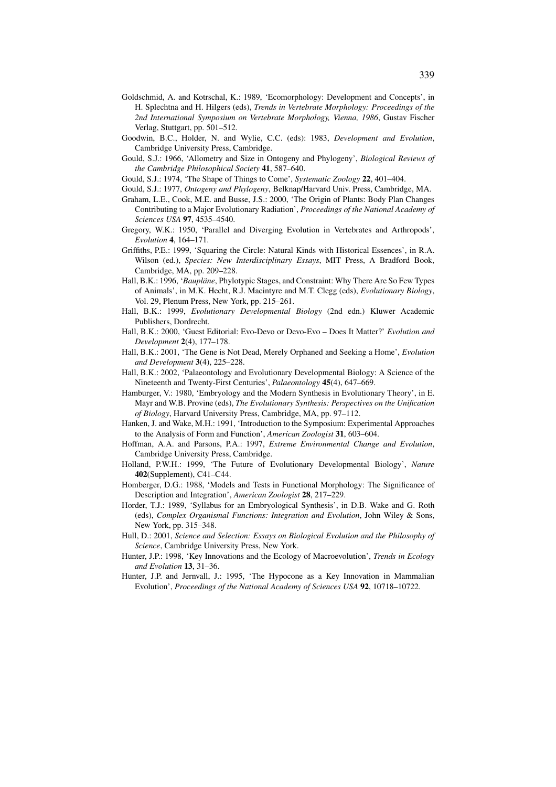- Goldschmid, A. and Kotrschal, K.: 1989, 'Ecomorphology: Development and Concepts', in H. Splechtna and H. Hilgers (eds), *Trends in Vertebrate Morphology: Proceedings of the 2nd International Symposium on Vertebrate Morphology, Vienna, 1986*, Gustav Fischer Verlag, Stuttgart, pp. 501–512.
- Goodwin, B.C., Holder, N. and Wylie, C.C. (eds): 1983, *Development and Evolution*, Cambridge University Press, Cambridge.
- Gould, S.J.: 1966, 'Allometry and Size in Ontogeny and Phylogeny', *Biological Reviews of the Cambridge Philosophical Society* **41**, 587–640.
- Gould, S.J.: 1974, 'The Shape of Things to Come', *Systematic Zoology* **22**, 401–404.
- Gould, S.J.: 1977, *Ontogeny and Phylogeny*, Belknap/Harvard Univ. Press, Cambridge, MA.
- Graham, L.E., Cook, M.E. and Busse, J.S.: 2000, 'The Origin of Plants: Body Plan Changes Contributing to a Major Evolutionary Radiation', *Proceedings of the National Academy of Sciences USA* **97**, 4535–4540.
- Gregory, W.K.: 1950, 'Parallel and Diverging Evolution in Vertebrates and Arthropods', *Evolution* **4**, 164–171.
- Griffiths, P.E.: 1999, 'Squaring the Circle: Natural Kinds with Historical Essences', in R.A. Wilson (ed.), *Species: New Interdisciplinary Essays*, MIT Press, A Bradford Book, Cambridge, MA, pp. 209–228.
- Hall, B.K.: 1996, '*Baupläne*, Phylotypic Stages, and Constraint: Why There Are So Few Types of Animals', in M.K. Hecht, R.J. Macintyre and M.T. Clegg (eds), *Evolutionary Biology*, Vol. 29, Plenum Press, New York, pp. 215–261.
- Hall, B.K.: 1999, *Evolutionary Developmental Biology* (2nd edn.) Kluwer Academic Publishers, Dordrecht.
- Hall, B.K.: 2000, 'Guest Editorial: Evo-Devo or Devo-Evo Does It Matter?' *Evolution and Development* **2**(4), 177–178.
- Hall, B.K.: 2001, 'The Gene is Not Dead, Merely Orphaned and Seeking a Home', *Evolution and Development* **3**(4), 225–228.
- Hall, B.K.: 2002, 'Palaeontology and Evolutionary Developmental Biology: A Science of the Nineteenth and Twenty-First Centuries', *Palaeontology* **45**(4), 647–669.
- Hamburger, V.: 1980, 'Embryology and the Modern Synthesis in Evolutionary Theory', in E. Mayr and W.B. Provine (eds), *The Evolutionary Synthesis: Perspectives on the Unification of Biology*, Harvard University Press, Cambridge, MA, pp. 97–112.
- Hanken, J. and Wake, M.H.: 1991, 'Introduction to the Symposium: Experimental Approaches to the Analysis of Form and Function', *American Zoologist* **31**, 603–604.
- Hoffman, A.A. and Parsons, P.A.: 1997, *Extreme Environmental Change and Evolution*, Cambridge University Press, Cambridge.
- Holland, P.W.H.: 1999, 'The Future of Evolutionary Developmental Biology', *Nature* **402**(Supplement), C41–C44.
- Homberger, D.G.: 1988, 'Models and Tests in Functional Morphology: The Significance of Description and Integration', *American Zoologist* **28**, 217–229.
- Horder, T.J.: 1989, 'Syllabus for an Embryological Synthesis', in D.B. Wake and G. Roth (eds), *Complex Organismal Functions: Integration and Evolution*, John Wiley & Sons, New York, pp. 315–348.
- Hull, D.: 2001, *Science and Selection: Essays on Biological Evolution and the Philosophy of Science*, Cambridge University Press, New York.
- Hunter, J.P.: 1998, 'Key Innovations and the Ecology of Macroevolution', *Trends in Ecology and Evolution* **13**, 31–36.
- Hunter, J.P. and Jernvall, J.: 1995, 'The Hypocone as a Key Innovation in Mammalian Evolution', *Proceedings of the National Academy of Sciences USA* **92**, 10718–10722.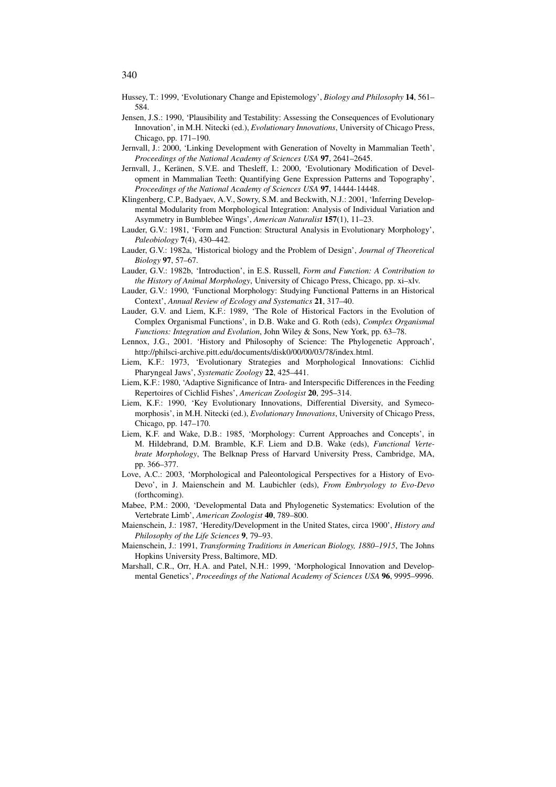- Hussey, T.: 1999, 'Evolutionary Change and Epistemology', *Biology and Philosophy* **14**, 561– 584.
- Jensen, J.S.: 1990, 'Plausibility and Testability: Assessing the Consequences of Evolutionary Innovation', in M.H. Nitecki (ed.), *Evolutionary Innovations*, University of Chicago Press, Chicago, pp. 171–190.
- Jernvall, J.: 2000, 'Linking Development with Generation of Novelty in Mammalian Teeth', *Proceedings of the National Academy of Sciences USA* **97**, 2641–2645.
- Jernvall, J., Keränen, S.V.E. and Thesleff, I.: 2000, 'Evolutionary Modification of Development in Mammalian Teeth: Quantifying Gene Expression Patterns and Topography', *Proceedings of the National Academy of Sciences USA* **97**, 14444-14448.
- Klingenberg, C.P., Badyaev, A.V., Sowry, S.M. and Beckwith, N.J.: 2001, 'Inferring Developmental Modularity from Morphological Integration: Analysis of Individual Variation and Asymmetry in Bumblebee Wings', *American Naturalist* **157**(1), 11–23.
- Lauder, G.V.: 1981, 'Form and Function: Structural Analysis in Evolutionary Morphology', *Paleobiology* **7**(4), 430–442.
- Lauder, G.V.: 1982a, 'Historical biology and the Problem of Design', *Journal of Theoretical Biology* **97**, 57–67.
- Lauder, G.V.: 1982b, 'Introduction', in E.S. Russell, *Form and Function: A Contribution to the History of Animal Morphology*, University of Chicago Press, Chicago, pp. xi–xlv.
- Lauder, G.V.: 1990, 'Functional Morphology: Studying Functional Patterns in an Historical Context', *Annual Review of Ecology and Systematics* **21**, 317–40.
- Lauder, G.V. and Liem, K.F.: 1989, 'The Role of Historical Factors in the Evolution of Complex Organismal Functions', in D.B. Wake and G. Roth (eds), *Complex Organismal Functions: Integration and Evolution*, John Wiley & Sons, New York, pp. 63–78.
- Lennox, J.G., 2001. 'History and Philosophy of Science: The Phylogenetic Approach', http://philsci-archive.pitt.edu/documents/disk0/00/00/03/78/index.html.
- Liem, K.F.: 1973, 'Evolutionary Strategies and Morphological Innovations: Cichlid Pharyngeal Jaws', *Systematic Zoology* **22**, 425–441.
- Liem, K.F.: 1980, 'Adaptive Significance of Intra- and Interspecific Differences in the Feeding Repertoires of Cichlid Fishes', *American Zoologist* **20**, 295–314.
- Liem, K.F.: 1990, 'Key Evolutionary Innovations, Differential Diversity, and Symecomorphosis', in M.H. Nitecki (ed.), *Evolutionary Innovations*, University of Chicago Press, Chicago, pp. 147–170.
- Liem, K.F. and Wake, D.B.: 1985, 'Morphology: Current Approaches and Concepts', in M. Hildebrand, D.M. Bramble, K.F. Liem and D.B. Wake (eds), *Functional Vertebrate Morphology*, The Belknap Press of Harvard University Press, Cambridge, MA, pp. 366–377.
- Love, A.C.: 2003, 'Morphological and Paleontological Perspectives for a History of Evo-Devo', in J. Maienschein and M. Laubichler (eds), *From Embryology to Evo-Devo* (forthcoming).
- Mabee, P.M.: 2000, 'Developmental Data and Phylogenetic Systematics: Evolution of the Vertebrate Limb', *American Zoologist* **40**, 789–800.
- Maienschein, J.: 1987, 'Heredity/Development in the United States, circa 1900', *History and Philosophy of the Life Sciences* **9**, 79–93.
- Maienschein, J.: 1991, *Transforming Traditions in American Biology, 1880–1915*, The Johns Hopkins University Press, Baltimore, MD.
- Marshall, C.R., Orr, H.A. and Patel, N.H.: 1999, 'Morphological Innovation and Developmental Genetics', *Proceedings of the National Academy of Sciences USA* **96**, 9995–9996.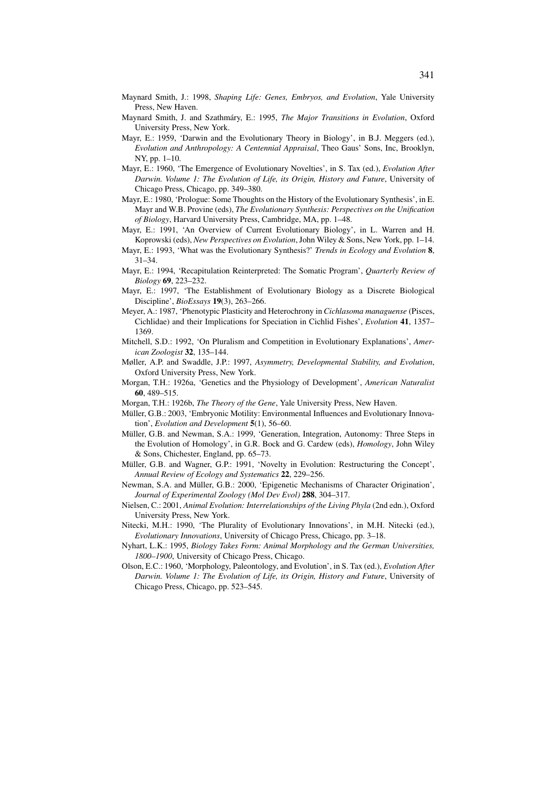- Maynard Smith, J.: 1998, *Shaping Life: Genes, Embryos, and Evolution*, Yale University Press, New Haven.
- Maynard Smith, J. and Szathmáry, E.: 1995, *The Major Transitions in Evolution*, Oxford University Press, New York.
- Mayr, E.: 1959, 'Darwin and the Evolutionary Theory in Biology', in B.J. Meggers (ed.), *Evolution and Anthropology: A Centennial Appraisal*, Theo Gaus' Sons, Inc, Brooklyn, NY, pp. 1–10.
- Mayr, E.: 1960, 'The Emergence of Evolutionary Novelties', in S. Tax (ed.), *Evolution After Darwin. Volume 1: The Evolution of Life, its Origin, History and Future*, University of Chicago Press, Chicago, pp. 349–380.
- Mayr, E.: 1980, 'Prologue: Some Thoughts on the History of the Evolutionary Synthesis', in E. Mayr and W.B. Provine (eds), *The Evolutionary Synthesis: Perspectives on the Unification of Biology*, Harvard University Press, Cambridge, MA, pp. 1–48.
- Mayr, E.: 1991, 'An Overview of Current Evolutionary Biology', in L. Warren and H. Koprowski (eds), *New Perspectives on Evolution*, John Wiley & Sons, New York, pp. 1–14.
- Mayr, E.: 1993, 'What was the Evolutionary Synthesis?' *Trends in Ecology and Evolution* **8**, 31–34.
- Mayr, E.: 1994, 'Recapitulation Reinterpreted: The Somatic Program', *Quarterly Review of Biology* **69**, 223–232.
- Mayr, E.: 1997, 'The Establishment of Evolutionary Biology as a Discrete Biological Discipline', *BioEssays* **19**(3), 263–266.
- Meyer, A.: 1987, 'Phenotypic Plasticity and Heterochrony in *Cichlasoma managuense* (Pisces, Cichlidae) and their Implications for Speciation in Cichlid Fishes', *Evolution* **41**, 1357– 1369.
- Mitchell, S.D.: 1992, 'On Pluralism and Competition in Evolutionary Explanations', *American Zoologist* **32**, 135–144.
- Møller, A.P. and Swaddle, J.P.: 1997, *Asymmetry, Developmental Stability, and Evolution*, Oxford University Press, New York.
- Morgan, T.H.: 1926a, 'Genetics and the Physiology of Development', *American Naturalist* **60**, 489–515.
- Morgan, T.H.: 1926b, *The Theory of the Gene*, Yale University Press, New Haven.
- Müller, G.B.: 2003, 'Embryonic Motility: Environmental Influences and Evolutionary Innovation', *Evolution and Development* **5**(1), 56–60.
- Müller, G.B. and Newman, S.A.: 1999, 'Generation, Integration, Autonomy: Three Steps in the Evolution of Homology', in G.R. Bock and G. Cardew (eds), *Homology*, John Wiley & Sons, Chichester, England, pp. 65–73.
- Müller, G.B. and Wagner, G.P.: 1991, 'Novelty in Evolution: Restructuring the Concept', *Annual Review of Ecology and Systematics* **22**, 229–256.
- Newman, S.A. and Müller, G.B.: 2000, 'Epigenetic Mechanisms of Character Origination', *Journal of Experimental Zoology (Mol Dev Evol)* **288**, 304–317.
- Nielsen, C.: 2001, *Animal Evolution: Interrelationships of the Living Phyla* (2nd edn.), Oxford University Press, New York.
- Nitecki, M.H.: 1990, 'The Plurality of Evolutionary Innovations', in M.H. Nitecki (ed.), *Evolutionary Innovations*, University of Chicago Press, Chicago, pp. 3–18.
- Nyhart, L.K.: 1995, *Biology Takes Form: Animal Morphology and the German Universities, 1800–1900*, University of Chicago Press, Chicago.
- Olson, E.C.: 1960, 'Morphology, Paleontology, and Evolution', in S. Tax (ed.), *Evolution After Darwin. Volume 1: The Evolution of Life, its Origin, History and Future*, University of Chicago Press, Chicago, pp. 523–545.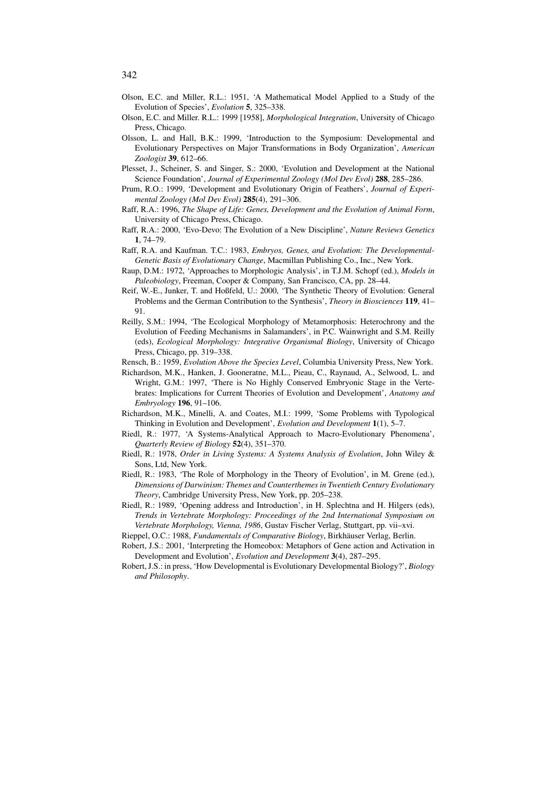- Olson, E.C. and Miller, R.L.: 1951, 'A Mathematical Model Applied to a Study of the Evolution of Species', *Evolution* **5**, 325–338.
- Olson, E.C. and Miller. R.L.: 1999 [1958], *Morphological Integration*, University of Chicago Press, Chicago.
- Olsson, L. and Hall, B.K.: 1999, 'Introduction to the Symposium: Developmental and Evolutionary Perspectives on Major Transformations in Body Organization', *American Zoologist* **39**, 612–66.
- Plesset, J., Scheiner, S. and Singer, S.: 2000, 'Evolution and Development at the National Science Foundation', *Journal of Experimental Zoology (Mol Dev Evol)* **288**, 285–286.
- Prum, R.O.: 1999, 'Development and Evolutionary Origin of Feathers', *Journal of Experimental Zoology (Mol Dev Evol)* **285**(4), 291–306.
- Raff, R.A.: 1996, *The Shape of Life: Genes, Development and the Evolution of Animal Form*, University of Chicago Press, Chicago.
- Raff, R.A.: 2000, 'Evo-Devo: The Evolution of a New Discipline', *Nature Reviews Genetics* **1**, 74–79.
- Raff, R.A. and Kaufman. T.C.: 1983, *Embryos, Genes, and Evolution: The Developmental-Genetic Basis of Evolutionary Change*, Macmillan Publishing Co., Inc., New York.
- Raup, D.M.: 1972, 'Approaches to Morphologic Analysis', in T.J.M. Schopf (ed.), *Models in Paleobiology*, Freeman, Cooper & Company, San Francisco, CA, pp. 28–44.
- Reif, W.-E., Junker, T. and Hoßfeld, U.: 2000, 'The Synthetic Theory of Evolution: General Problems and the German Contribution to the Synthesis', *Theory in Biosciences* **119**, 41– 91.
- Reilly, S.M.: 1994, 'The Ecological Morphology of Metamorphosis: Heterochrony and the Evolution of Feeding Mechanisms in Salamanders', in P.C. Wainwright and S.M. Reilly (eds), *Ecological Morphology: Integrative Organismal Biology*, University of Chicago Press, Chicago, pp. 319–338.
- Rensch, B.: 1959, *Evolution Above the Species Level*, Columbia University Press, New York.
- Richardson, M.K., Hanken, J. Gooneratne, M.L., Pieau, C., Raynaud, A., Selwood, L. and Wright, G.M.: 1997, 'There is No Highly Conserved Embryonic Stage in the Vertebrates: Implications for Current Theories of Evolution and Development', *Anatomy and Embryology* **196**, 91–106.
- Richardson, M.K., Minelli, A. and Coates, M.I.: 1999, 'Some Problems with Typological Thinking in Evolution and Development', *Evolution and Development* **1**(1), 5–7.
- Riedl, R.: 1977, 'A Systems-Analytical Approach to Macro-Evolutionary Phenomena', *Quarterly Review of Biology* **52**(4), 351–370.
- Riedl, R.: 1978, *Order in Living Systems: A Systems Analysis of Evolution*, John Wiley & Sons, Ltd, New York.
- Riedl, R.: 1983, 'The Role of Morphology in the Theory of Evolution', in M. Grene (ed.), *Dimensions of Darwinism: Themes and Counterthemes in Twentieth Century Evolutionary Theory*, Cambridge University Press, New York, pp. 205–238.
- Riedl, R.: 1989, 'Opening address and Introduction', in H. Splechtna and H. Hilgers (eds), *Trends in Vertebrate Morphology: Proceedings of the 2nd International Symposium on Vertebrate Morphology, Vienna, 1986*, Gustav Fischer Verlag, Stuttgart, pp. vii–xvi.
- Rieppel, O.C.: 1988, *Fundamentals of Comparative Biology*, Birkhäuser Verlag, Berlin.
- Robert, J.S.: 2001, 'Interpreting the Homeobox: Metaphors of Gene action and Activation in Development and Evolution', *Evolution and Development* **3**(4), 287–295.
- Robert, J.S.: in press, 'How Developmental is Evolutionary Developmental Biology?', *Biology and Philosophy*.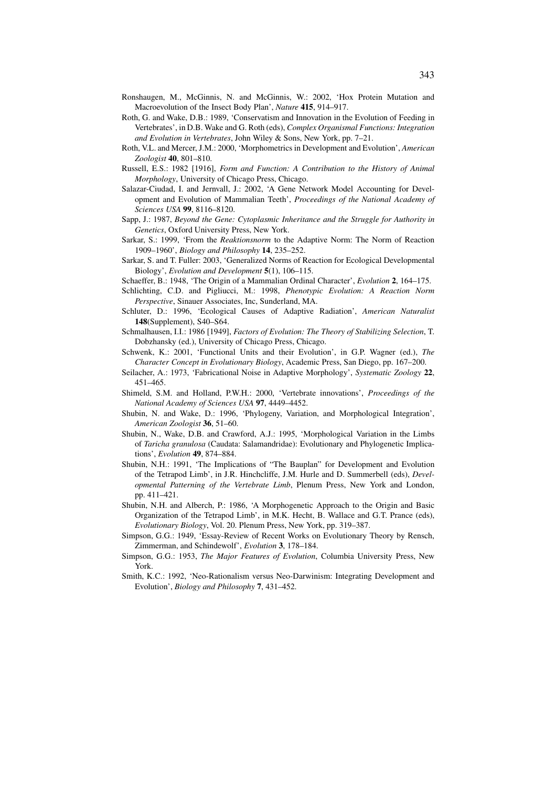- Ronshaugen, M., McGinnis, N. and McGinnis, W.: 2002, 'Hox Protein Mutation and Macroevolution of the Insect Body Plan', *Nature* **415**, 914–917.
- Roth, G. and Wake, D.B.: 1989, 'Conservatism and Innovation in the Evolution of Feeding in Vertebrates', in D.B. Wake and G. Roth (eds), *Complex Organismal Functions: Integration and Evolution in Vertebrates*, John Wiley & Sons, New York, pp. 7–21.
- Roth, V.L. and Mercer, J.M.: 2000, 'Morphometrics in Development and Evolution', *American Zoologist* **40**, 801–810.
- Russell, E.S.: 1982 [1916], *Form and Function: A Contribution to the History of Animal Morphology*, University of Chicago Press, Chicago.
- Salazar-Ciudad, I. and Jernvall, J.: 2002, 'A Gene Network Model Accounting for Development and Evolution of Mammalian Teeth', *Proceedings of the National Academy of Sciences USA* **99**, 8116–8120.
- Sapp, J.: 1987, *Beyond the Gene: Cytoplasmic Inheritance and the Struggle for Authority in Genetics*, Oxford University Press, New York.
- Sarkar, S.: 1999, 'From the *Reaktionsnorm* to the Adaptive Norm: The Norm of Reaction 1909–1960', *Biology and Philosophy* **14**, 235–252.
- Sarkar, S. and T. Fuller: 2003, 'Generalized Norms of Reaction for Ecological Developmental Biology', *Evolution and Development* **5**(1), 106–115.
- Schaeffer, B.: 1948, 'The Origin of a Mammalian Ordinal Character', *Evolution* **2**, 164–175.
- Schlichting, C.D. and Pigliucci, M.: 1998, *Phenotypic Evolution: A Reaction Norm Perspective*, Sinauer Associates, Inc, Sunderland, MA.
- Schluter, D.: 1996, 'Ecological Causes of Adaptive Radiation', *American Naturalist* **148**(Supplement), S40–S64.
- Schmalhausen, I.I.: 1986 [1949], *Factors of Evolution: The Theory of Stabilizing Selection*, T. Dobzhansky (ed.), University of Chicago Press, Chicago.
- Schwenk, K.: 2001, 'Functional Units and their Evolution', in G.P. Wagner (ed.), *The Character Concept in Evolutionary Biology*, Academic Press, San Diego, pp. 167–200.
- Seilacher, A.: 1973, 'Fabricational Noise in Adaptive Morphology', *Systematic Zoology* **22**, 451–465.
- Shimeld, S.M. and Holland, P.W.H.: 2000, 'Vertebrate innovations', *Proceedings of the National Academy of Sciences USA* **97**, 4449–4452.
- Shubin, N. and Wake, D.: 1996, 'Phylogeny, Variation, and Morphological Integration', *American Zoologist* **36**, 51–60.
- Shubin, N., Wake, D.B. and Crawford, A.J.: 1995, 'Morphological Variation in the Limbs of *Taricha granulosa* (Caudata: Salamandridae): Evolutionary and Phylogenetic Implications', *Evolution* **49**, 874–884.
- Shubin, N.H.: 1991, 'The Implications of "The Bauplan" for Development and Evolution of the Tetrapod Limb', in J.R. Hinchcliffe, J.M. Hurle and D. Summerbell (eds), *Developmental Patterning of the Vertebrate Limb*, Plenum Press, New York and London, pp. 411–421.
- Shubin, N.H. and Alberch, P.: 1986, 'A Morphogenetic Approach to the Origin and Basic Organization of the Tetrapod Limb', in M.K. Hecht, B. Wallace and G.T. Prance (eds), *Evolutionary Biology*, Vol. 20. Plenum Press, New York, pp. 319–387.
- Simpson, G.G.: 1949, 'Essay-Review of Recent Works on Evolutionary Theory by Rensch, Zimmerman, and Schindewolf', *Evolution* **3**, 178–184.
- Simpson, G.G.: 1953, *The Major Features of Evolution*, Columbia University Press, New York.
- Smith, K.C.: 1992, 'Neo-Rationalism versus Neo-Darwinism: Integrating Development and Evolution', *Biology and Philosophy* **7**, 431–452.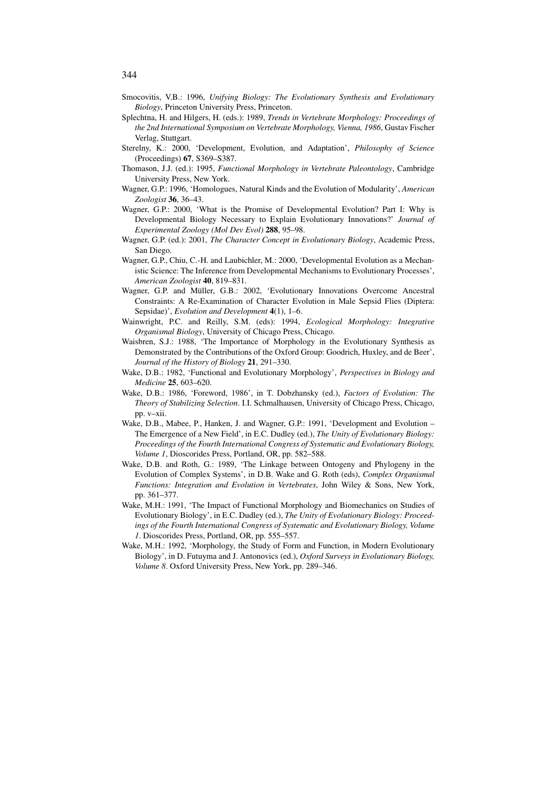- Smocovitis, V.B.: 1996, *Unifying Biology: The Evolutionary Synthesis and Evolutionary Biology*, Princeton University Press, Princeton.
- Splechtna, H. and Hilgers, H. (eds.): 1989, *Trends in Vertebrate Morphology: Proceedings of the 2nd International Symposium on Vertebrate Morphology, Vienna, 1986*, Gustav Fischer Verlag, Stuttgart.
- Sterelny, K.: 2000, 'Development, Evolution, and Adaptation', *Philosophy of Science* (Proceedings) **67**, S369–S387.
- Thomason, J.J. (ed.): 1995, *Functional Morphology in Vertebrate Paleontology*, Cambridge University Press, New York.
- Wagner, G.P.: 1996, 'Homologues, Natural Kinds and the Evolution of Modularity', *American Zoologist* **36**, 36–43.
- Wagner, G.P.: 2000, 'What is the Promise of Developmental Evolution? Part I: Why is Developmental Biology Necessary to Explain Evolutionary Innovations?' *Journal of Experimental Zoology (Mol Dev Evol)* **288**, 95–98.
- Wagner, G.P. (ed.): 2001, *The Character Concept in Evolutionary Biology*, Academic Press, San Diego.
- Wagner, G.P., Chiu, C.-H. and Laubichler, M.: 2000, 'Developmental Evolution as a Mechanistic Science: The Inference from Developmental Mechanisms to Evolutionary Processes', *American Zoologist* **40**, 819–831.
- Wagner, G.P. and Müller, G.B.: 2002, 'Evolutionary Innovations Overcome Ancestral Constraints: A Re-Examination of Character Evolution in Male Sepsid Flies (Diptera: Sepsidae)', *Evolution and Development* **4**(1), 1–6.
- Wainwright, P.C. and Reilly, S.M. (eds): 1994, *Ecological Morphology: Integrative Organismal Biology*, University of Chicago Press, Chicago.
- Waisbren, S.J.: 1988, 'The Importance of Morphology in the Evolutionary Synthesis as Demonstrated by the Contributions of the Oxford Group: Goodrich, Huxley, and de Beer', *Journal of the History of Biology* **21**, 291–330.
- Wake, D.B.: 1982, 'Functional and Evolutionary Morphology', *Perspectives in Biology and Medicine* **25**, 603–620.
- Wake, D.B.: 1986, 'Foreword, 1986', in T. Dobzhansky (ed.), *Factors of Evolution: The Theory of Stabilizing Selection*. I.I. Schmalhausen, University of Chicago Press, Chicago, pp. v–xii.
- Wake, D.B., Mabee, P., Hanken, J. and Wagner, G.P.: 1991, 'Development and Evolution The Emergence of a New Field', in E.C. Dudley (ed.), *The Unity of Evolutionary Biology: Proceedings of the Fourth International Congress of Systematic and Evolutionary Biology, Volume 1*, Dioscorides Press, Portland, OR, pp. 582–588.
- Wake, D.B. and Roth, G.: 1989, 'The Linkage between Ontogeny and Phylogeny in the Evolution of Complex Systems', in D.B. Wake and G. Roth (eds), *Complex Organismal Functions: Integration and Evolution in Vertebrates*, John Wiley & Sons, New York, pp. 361–377.
- Wake, M.H.: 1991, 'The Impact of Functional Morphology and Biomechanics on Studies of Evolutionary Biology', in E.C. Dudley (ed.), *The Unity of Evolutionary Biology: Proceedings of the Fourth International Congress of Systematic and Evolutionary Biology, Volume 1*. Dioscorides Press, Portland, OR, pp. 555–557.
- Wake, M.H.: 1992, 'Morphology, the Study of Form and Function, in Modern Evolutionary Biology', in D. Futuyma and J. Antonovics (ed.), *Oxford Surveys in Evolutionary Biology, Volume 8*. Oxford University Press, New York, pp. 289–346.